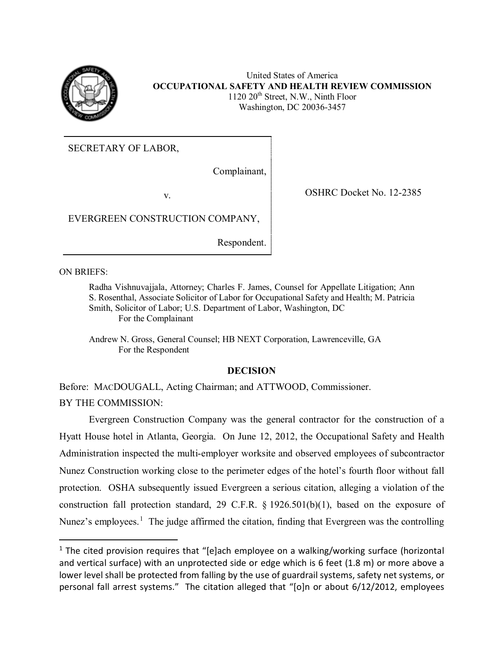

United States of America **OCCUPATIONAL SAFETY AND HEALTH REVIEW COMMISSION**  $1120 20<sup>th</sup>$  Street, N.W., Ninth Floor Washington, DC 20036-3457

SECRETARY OF LABOR,

Complainant,

v. COSHRC Docket No. 12-2385

EVERGREEN CONSTRUCTION COMPANY,

Respondent.

ON BRIEFS:

l

Radha Vishnuvajjala, Attorney; Charles F. James, Counsel for Appellate Litigation; Ann S. Rosenthal, Associate Solicitor of Labor for Occupational Safety and Health; M. Patricia Smith, Solicitor of Labor; U.S. Department of Labor, Washington, DC For the Complainant

Andrew N. Gross, General Counsel; HB NEXT Corporation, Lawrenceville, GA For the Respondent

# **DECISION**

Before: MACDOUGALL, Acting Chairman; and ATTWOOD, Commissioner. BY THE COMMISSION:

Evergreen Construction Company was the general contractor for the construction of a Hyatt House hotel in Atlanta, Georgia. On June 12, 2012, the Occupational Safety and Health Administration inspected the multi-employer worksite and observed employees of subcontractor Nunez Construction working close to the perimeter edges of the hotel's fourth floor without fall protection. OSHA subsequently issued Evergreen a serious citation, alleging a violation of the construction fall protection standard, 29 C.F.R. § 1926.501(b)(1), based on the exposure of Nunez's employees.<sup>[1](#page-0-0)</sup> The judge affirmed the citation, finding that Evergreen was the controlling

<span id="page-0-0"></span> $1$  The cited provision requires that "[e]ach employee on a walking/working surface (horizontal and vertical surface) with an unprotected side or edge which is 6 feet (1.8 m) or more above a lower level shall be protected from falling by the use of guardrail systems, safety net systems, or personal fall arrest systems." The citation alleged that "[o]n or about 6/12/2012, employees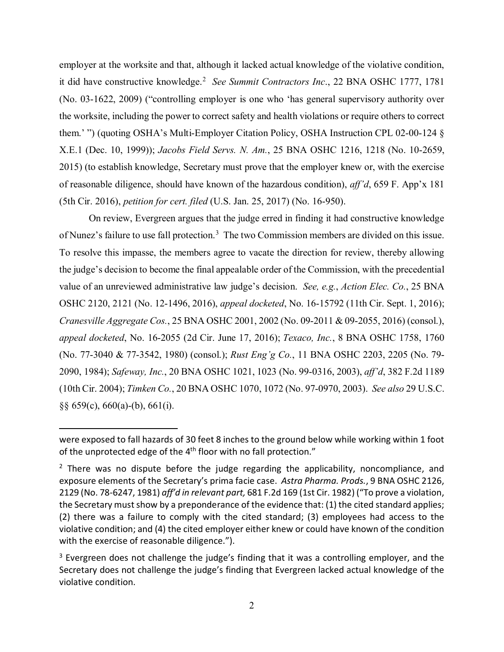employer at the worksite and that, although it lacked actual knowledge of the violative condition, it did have constructive knowledge.[2](#page-1-0) *See Summit Contractors Inc*., 22 BNA OSHC 1777, 1781 (No. 03-1622, 2009) ("controlling employer is one who 'has general supervisory authority over the worksite, including the power to correct safety and health violations or require others to correct them.' ") (quoting OSHA's Multi-Employer Citation Policy, OSHA Instruction CPL 02-00-124 § X.E.1 (Dec. 10, 1999)); *Jacobs Field Servs. N. Am.*, 25 BNA OSHC 1216, 1218 (No. 10-2659, 2015) (to establish knowledge, Secretary must prove that the employer knew or, with the exercise of reasonable diligence, should have known of the hazardous condition), *aff'd*, 659 F. App'x 181 (5th Cir. 2016), *petition for cert. filed* (U.S. Jan. 25, 2017) (No. 16-950).

On review, Evergreen argues that the judge erred in finding it had constructive knowledge of Nunez's failure to use fall protection.<sup>[3](#page-1-1)</sup> The two Commission members are divided on this issue. To resolve this impasse, the members agree to vacate the direction for review, thereby allowing the judge's decision to become the final appealable order of the Commission, with the precedential value of an unreviewed administrative law judge's decision. *See, e.g.*, *Action Elec. Co.*, 25 BNA OSHC 2120, 2121 (No. 12-1496, 2016), *appeal docketed*, No. 16-15792 (11th Cir. Sept. 1, 2016); *Cranesville Aggregate Cos.*, 25 BNA OSHC 2001, 2002 (No. 09-2011 & 09-2055, 2016) (consol.), *appeal docketed*, No. 16-2055 (2d Cir. June 17, 2016); *Texaco, Inc.*, 8 BNA OSHC 1758, 1760 (No. 77-3040 & 77-3542, 1980) (consol.); *Rust Eng'g Co.*, 11 BNA OSHC 2203, 2205 (No. 79- 2090, 1984); *Safeway, Inc.*, 20 BNA OSHC 1021, 1023 (No. 99-0316, 2003), *aff'd*, 382 F.2d 1189 (10th Cir. 2004); *Timken Co.*, 20 BNA OSHC 1070, 1072 (No. 97-0970, 2003). *See also* 29 U.S.C.  $\S$ § 659(c), 660(a)-(b), 661(i).

 $\overline{a}$ 

were exposed to fall hazards of 30 feet 8 inches to the ground below while working within 1 foot of the unprotected edge of the 4<sup>th</sup> floor with no fall protection."

<span id="page-1-0"></span> $2$  There was no dispute before the judge regarding the applicability, noncompliance, and exposure elements of the Secretary's prima facie case. *Astra Pharma. Prods.*, 9 BNA OSHC 2126, 2129 (No. 78-6247, 1981) *aff'd in relevant part,* 681 F.2d 169 (1st Cir. 1982) ("To prove a violation, the Secretary must show by a preponderance of the evidence that: (1) the cited standard applies; (2) there was a failure to comply with the cited standard; (3) employees had access to the violative condition; and (4) the cited employer either knew or could have known of the condition with the exercise of reasonable diligence.").

<span id="page-1-1"></span><sup>&</sup>lt;sup>3</sup> Evergreen does not challenge the judge's finding that it was a controlling employer, and the Secretary does not challenge the judge's finding that Evergreen lacked actual knowledge of the violative condition.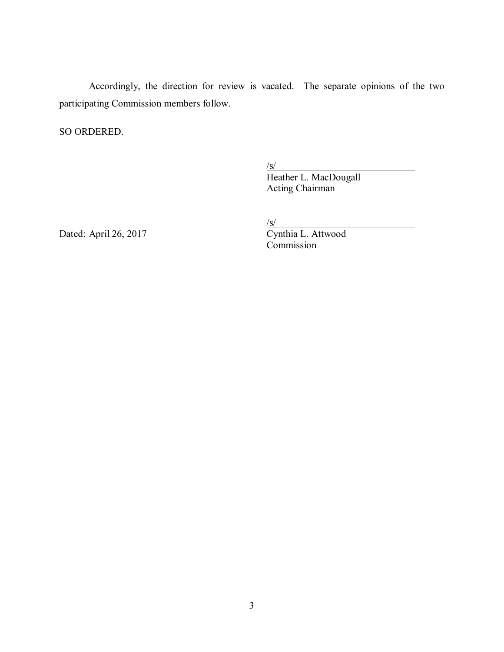Accordingly, the direction for review is vacated. The separate opinions of the two participating Commission members follow.

SO ORDERED.

 $\sqrt{s/2}$ 

 $\frac{\ensuremath{\mathit{S}}\xspace\ensuremath{\mathit{S}}\xspace\ensuremath{\mathit{S}}\xspace\ensuremath{\mathit{N}}\xspace}$  Heather L. MacDougall Acting Chairman

Dated: April 26, 2017 Cynthia L. Attwood

 $\sqrt{s}$ /

Commission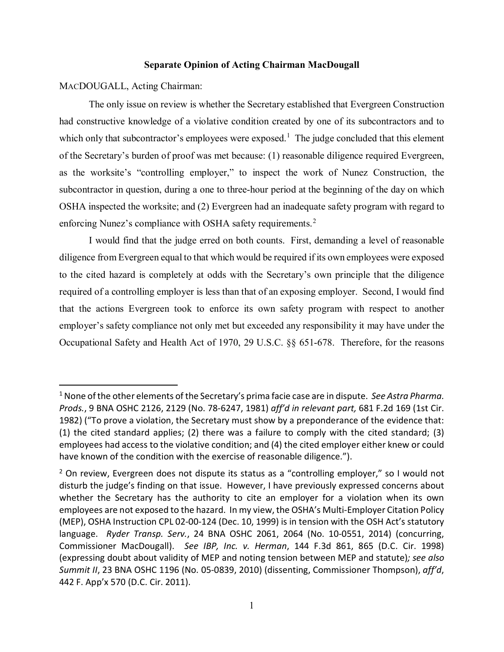## **Separate Opinion of Acting Chairman MacDougall**

MACDOUGALL, Acting Chairman:

l

The only issue on review is whether the Secretary established that Evergreen Construction had constructive knowledge of a violative condition created by one of its subcontractors and to which only that subcontractor's employees were exposed.<sup>[1](#page-3-0)</sup> The judge concluded that this element of the Secretary's burden of proof was met because: (1) reasonable diligence required Evergreen, as the worksite's "controlling employer," to inspect the work of Nunez Construction, the subcontractor in question, during a one to three-hour period at the beginning of the day on which OSHA inspected the worksite; and (2) Evergreen had an inadequate safety program with regard to enforcing Nunez's compliance with OSHA safety requirements.<sup>[2](#page-3-1)</sup>

I would find that the judge erred on both counts. First, demanding a level of reasonable diligence from Evergreen equal to that which would be required if its own employees were exposed to the cited hazard is completely at odds with the Secretary's own principle that the diligence required of a controlling employer is less than that of an exposing employer. Second, I would find that the actions Evergreen took to enforce its own safety program with respect to another employer's safety compliance not only met but exceeded any responsibility it may have under the Occupational Safety and Health Act of 1970, 29 U.S.C. §§ 651-678. Therefore, for the reasons

<span id="page-3-0"></span><sup>1</sup> None of the other elements of the Secretary's prima facie case are in dispute. *See Astra Pharma. Prods.*, 9 BNA OSHC 2126, 2129 (No. 78-6247, 1981) *aff'd in relevant part,* 681 F.2d 169 (1st Cir. 1982) ("To prove a violation, the Secretary must show by a preponderance of the evidence that: (1) the cited standard applies; (2) there was a failure to comply with the cited standard; (3) employees had access to the violative condition; and (4) the cited employer either knew or could have known of the condition with the exercise of reasonable diligence.").

<span id="page-3-1"></span> $<sup>2</sup>$  On review, Evergreen does not dispute its status as a "controlling employer," so I would not</sup> disturb the judge's finding on that issue. However, I have previously expressed concerns about whether the Secretary has the authority to cite an employer for a violation when its own employees are not exposed to the hazard. In my view, the OSHA's Multi-Employer Citation Policy (MEP), OSHA Instruction CPL 02-00-124 (Dec. 10, 1999) is in tension with the OSH Act's statutory language. *Ryder Transp. Serv.*, 24 BNA OSHC 2061, 2064 (No. 10-0551, 2014) (concurring, Commissioner MacDougall). *See IBP, Inc. v. Herman*, 144 F.3d 861, 865 (D.C. Cir. 1998) (expressing doubt about validity of MEP and noting tension between MEP and statute)*; see also Summit II*, 23 BNA OSHC 1196 (No. 05-0839, 2010) (dissenting, Commissioner Thompson), *aff'd*, 442 F. App'x 570 (D.C. Cir. 2011).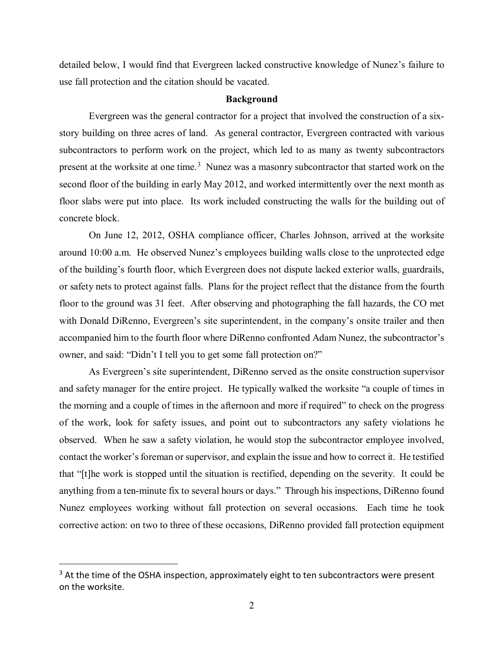detailed below, I would find that Evergreen lacked constructive knowledge of Nunez's failure to use fall protection and the citation should be vacated.

#### **Background**

Evergreen was the general contractor for a project that involved the construction of a sixstory building on three acres of land. As general contractor, Evergreen contracted with various subcontractors to perform work on the project, which led to as many as twenty subcontractors present at the worksite at one time.<sup>[3](#page-4-0)</sup> Nunez was a masonry subcontractor that started work on the second floor of the building in early May 2012, and worked intermittently over the next month as floor slabs were put into place. Its work included constructing the walls for the building out of concrete block.

On June 12, 2012, OSHA compliance officer, Charles Johnson, arrived at the worksite around 10:00 a.m. He observed Nunez's employees building walls close to the unprotected edge of the building's fourth floor, which Evergreen does not dispute lacked exterior walls, guardrails, or safety nets to protect against falls. Plans for the project reflect that the distance from the fourth floor to the ground was 31 feet. After observing and photographing the fall hazards, the CO met with Donald DiRenno, Evergreen's site superintendent, in the company's onsite trailer and then accompanied him to the fourth floor where DiRenno confronted Adam Nunez, the subcontractor's owner, and said: "Didn't I tell you to get some fall protection on?"

As Evergreen's site superintendent, DiRenno served as the onsite construction supervisor and safety manager for the entire project. He typically walked the worksite "a couple of times in the morning and a couple of times in the afternoon and more if required" to check on the progress of the work, look for safety issues, and point out to subcontractors any safety violations he observed. When he saw a safety violation, he would stop the subcontractor employee involved, contact the worker's foreman or supervisor, and explain the issue and how to correct it. He testified that "[t]he work is stopped until the situation is rectified, depending on the severity. It could be anything from a ten-minute fix to several hours or days." Through his inspections, DiRenno found Nunez employees working without fall protection on several occasions. Each time he took corrective action: on two to three of these occasions, DiRenno provided fall protection equipment

<span id="page-4-0"></span> $3$  At the time of the OSHA inspection, approximately eight to ten subcontractors were present on the worksite.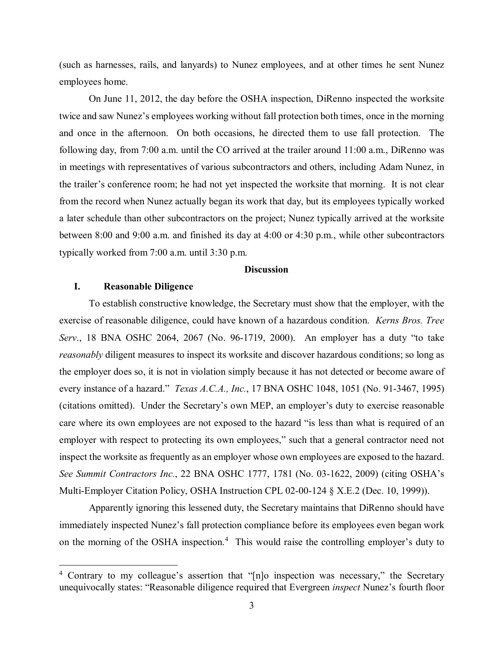(such as harnesses, rails, and lanyards) to Nunez employees, and at other times he sent Nunez employees home.

On June 11, 2012, the day before the OSHA inspection, DiRenno inspected the worksite twice and saw Nunez's employees working without fall protection both times, once in the morning and once in the afternoon. On both occasions, he directed them to use fall protection. The following day, from 7:00 a.m. until the CO arrived at the trailer around 11:00 a.m., DiRenno was in meetings with representatives of various subcontractors and others, including Adam Nunez, in the trailer's conference room; he had not yet inspected the worksite that morning. It is not clear from the record when Nunez actually began its work that day, but its employees typically worked a later schedule than other subcontractors on the project; Nunez typically arrived at the worksite between 8:00 and 9:00 a.m. and finished its day at 4:00 or 4:30 p.m., while other subcontractors typically worked from 7:00 a.m. until 3:30 p.m.

## **Discussion**

## **I. Reasonable Diligence**

 $\overline{\phantom{a}}$ 

To establish constructive knowledge, the Secretary must show that the employer, with the exercise of reasonable diligence, could have known of a hazardous condition. *Kerns Bros. Tree Serv*., 18 BNA OSHC 2064, 2067 (No. 96-1719, 2000). An employer has a duty "to take *reasonably* diligent measures to inspect its worksite and discover hazardous conditions; so long as the employer does so, it is not in violation simply because it has not detected or become aware of every instance of a hazard." *Texas A.C.A., Inc.*, 17 BNA OSHC 1048, 1051 (No. 91-3467, 1995) (citations omitted). Under the Secretary's own MEP, an employer's duty to exercise reasonable care where its own employees are not exposed to the hazard "is less than what is required of an employer with respect to protecting its own employees," such that a general contractor need not inspect the worksite as frequently as an employer whose own employees are exposed to the hazard. *See Summit Contractors Inc.*, 22 BNA OSHC 1777, 1781 (No. 03-1622, 2009) (citing OSHA's Multi-Employer Citation Policy, OSHA Instruction CPL 02-00-124 § X.E.2 (Dec. 10, 1999)).

Apparently ignoring this lessened duty, the Secretary maintains that DiRenno should have immediately inspected Nunez's fall protection compliance before its employees even began work on the morning of the OSHA inspection.<sup>[4](#page-5-0)</sup> This would raise the controlling employer's duty to

<span id="page-5-0"></span><sup>&</sup>lt;sup>4</sup> Contrary to my colleague's assertion that "[n]o inspection was necessary," the Secretary unequivocally states: "Reasonable diligence required that Evergreen *inspect* Nunez's fourth floor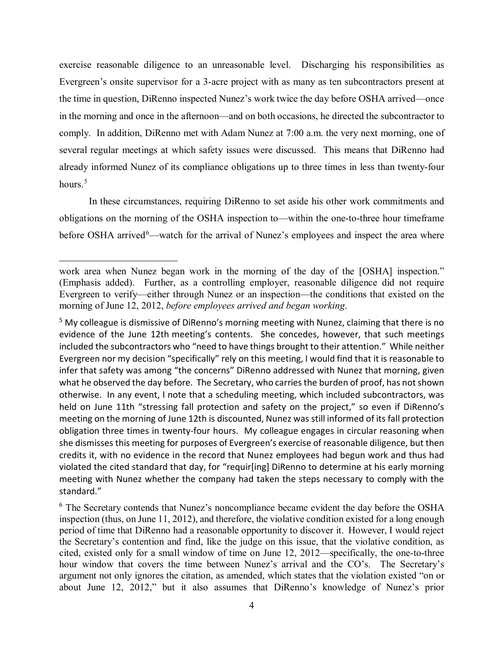exercise reasonable diligence to an unreasonable level. Discharging his responsibilities as Evergreen's onsite supervisor for a 3-acre project with as many as ten subcontractors present at the time in question, DiRenno inspected Nunez's work twice the day before OSHA arrived—once in the morning and once in the afternoon—and on both occasions, he directed the subcontractor to comply. In addition, DiRenno met with Adam Nunez at 7:00 a.m. the very next morning, one of several regular meetings at which safety issues were discussed. This means that DiRenno had already informed Nunez of its compliance obligations up to three times in less than twenty-four hours.<sup>[5](#page-6-0)</sup>

In these circumstances, requiring DiRenno to set aside his other work commitments and obligations on the morning of the OSHA inspection to—within the one-to-three hour timeframe before OSHA arrived<sup>[6](#page-6-1)</sup>—watch for the arrival of Nunez's employees and inspect the area where

work area when Nunez began work in the morning of the day of the [OSHA] inspection." (Emphasis added). Further, as a controlling employer, reasonable diligence did not require Evergreen to verify—either through Nunez or an inspection—the conditions that existed on the morning of June 12, 2012, *before employees arrived and began working*.

<span id="page-6-0"></span><sup>5</sup> My colleague is dismissive of DiRenno's morning meeting with Nunez, claiming that there is no evidence of the June 12th meeting's contents. She concedes, however, that such meetings included the subcontractors who "need to have things brought to their attention." While neither Evergreen nor my decision "specifically" rely on this meeting, I would find that it is reasonable to infer that safety was among "the concerns" DiRenno addressed with Nunez that morning, given what he observed the day before. The Secretary, who carries the burden of proof, has not shown otherwise. In any event, I note that a scheduling meeting, which included subcontractors, was held on June 11th "stressing fall protection and safety on the project," so even if DiRenno's meeting on the morning of June 12th is discounted, Nunez was still informed of its fall protection obligation three times in twenty-four hours. My colleague engages in circular reasoning when she dismisses this meeting for purposes of Evergreen's exercise of reasonable diligence, but then credits it, with no evidence in the record that Nunez employees had begun work and thus had violated the cited standard that day, for "requir[ing] DiRenno to determine at his early morning meeting with Nunez whether the company had taken the steps necessary to comply with the standard."

<span id="page-6-1"></span><sup>&</sup>lt;sup>6</sup> The Secretary contends that Nunez's noncompliance became evident the day before the OSHA inspection (thus, on June 11, 2012), and therefore, the violative condition existed for a long enough period of time that DiRenno had a reasonable opportunity to discover it. However, I would reject the Secretary's contention and find, like the judge on this issue, that the violative condition, as cited, existed only for a small window of time on June 12, 2012—specifically, the one-to-three hour window that covers the time between Nunez's arrival and the CO's. The Secretary's argument not only ignores the citation, as amended, which states that the violation existed "on or about June 12, 2012," but it also assumes that DiRenno's knowledge of Nunez's prior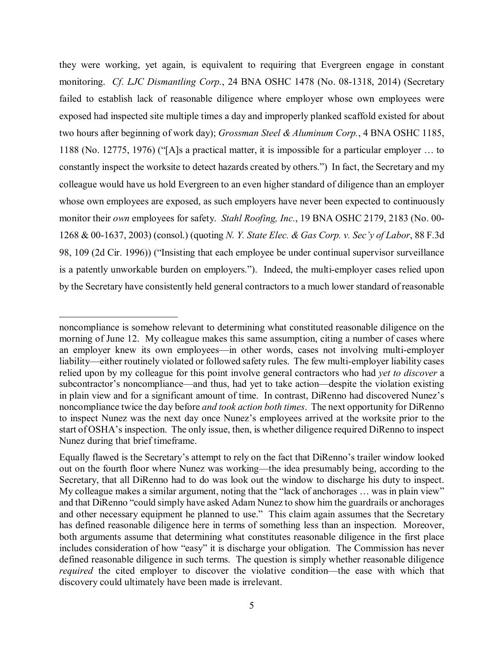they were working, yet again, is equivalent to requiring that Evergreen engage in constant monitoring. *Cf. LJC Dismantling Corp.*, 24 BNA OSHC 1478 (No. 08-1318, 2014) (Secretary failed to establish lack of reasonable diligence where employer whose own employees were exposed had inspected site multiple times a day and improperly planked scaffold existed for about two hours after beginning of work day); *Grossman Steel & Aluminum Corp.*, 4 BNA OSHC 1185, 1188 (No. 12775, 1976) ("[A]s a practical matter, it is impossible for a particular employer … to constantly inspect the worksite to detect hazards created by others.") In fact, the Secretary and my colleague would have us hold Evergreen to an even higher standard of diligence than an employer whose own employees are exposed, as such employers have never been expected to continuously monitor their *own* employees for safety. *Stahl Roofing, Inc.*, 19 BNA OSHC 2179, 2183 (No. 00- 1268 & 00-1637, 2003) (consol.) (quoting *N. Y. State Elec. & Gas Corp. v. Sec'y of Labor*, 88 F.3d 98, 109 (2d Cir. 1996)) ("Insisting that each employee be under continual supervisor surveillance is a patently unworkable burden on employers."). Indeed, the multi-employer cases relied upon by the Secretary have consistently held general contractors to a much lower standard of reasonable

noncompliance is somehow relevant to determining what constituted reasonable diligence on the morning of June 12. My colleague makes this same assumption, citing a number of cases where an employer knew its own employees—in other words, cases not involving multi-employer liability—either routinely violated or followed safety rules. The few multi-employer liability cases relied upon by my colleague for this point involve general contractors who had *yet to discover* a subcontractor's noncompliance—and thus, had yet to take action—despite the violation existing in plain view and for a significant amount of time. In contrast, DiRenno had discovered Nunez's noncompliance twice the day before *and took action both times*. The next opportunity for DiRenno to inspect Nunez was the next day once Nunez's employees arrived at the worksite prior to the start of OSHA's inspection. The only issue, then, is whether diligence required DiRenno to inspect Nunez during that brief timeframe.

Equally flawed is the Secretary's attempt to rely on the fact that DiRenno's trailer window looked out on the fourth floor where Nunez was working—the idea presumably being, according to the Secretary, that all DiRenno had to do was look out the window to discharge his duty to inspect. My colleague makes a similar argument, noting that the "lack of anchorages ... was in plain view" and that DiRenno "could simply have asked Adam Nunez to show him the guardrails or anchorages and other necessary equipment he planned to use." This claim again assumes that the Secretary has defined reasonable diligence here in terms of something less than an inspection. Moreover, both arguments assume that determining what constitutes reasonable diligence in the first place includes consideration of how "easy" it is discharge your obligation. The Commission has never defined reasonable diligence in such terms. The question is simply whether reasonable diligence *required* the cited employer to discover the violative condition—the ease with which that discovery could ultimately have been made is irrelevant.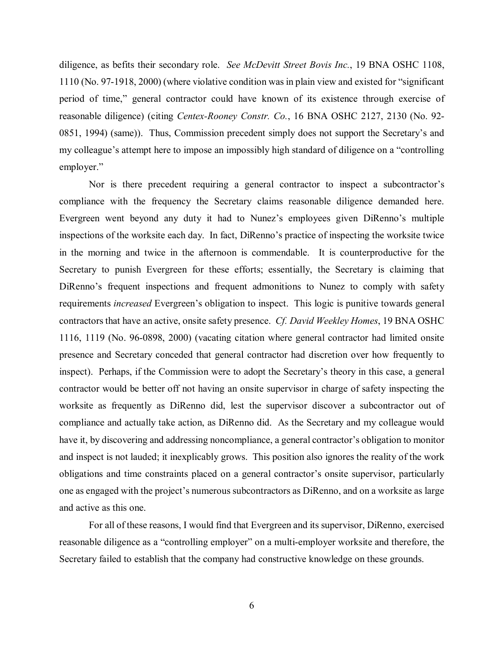diligence, as befits their secondary role. *See McDevitt Street Bovis Inc.*, 19 BNA OSHC 1108, 1110 (No. 97-1918, 2000) (where violative condition was in plain view and existed for "significant period of time," general contractor could have known of its existence through exercise of reasonable diligence) (citing *Centex-Rooney Constr. Co.*, 16 BNA OSHC 2127, 2130 (No. 92- 0851, 1994) (same)). Thus, Commission precedent simply does not support the Secretary's and my colleague's attempt here to impose an impossibly high standard of diligence on a "controlling employer."

Nor is there precedent requiring a general contractor to inspect a subcontractor's compliance with the frequency the Secretary claims reasonable diligence demanded here. Evergreen went beyond any duty it had to Nunez's employees given DiRenno's multiple inspections of the worksite each day. In fact, DiRenno's practice of inspecting the worksite twice in the morning and twice in the afternoon is commendable. It is counterproductive for the Secretary to punish Evergreen for these efforts; essentially, the Secretary is claiming that DiRenno's frequent inspections and frequent admonitions to Nunez to comply with safety requirements *increased* Evergreen's obligation to inspect. This logic is punitive towards general contractors that have an active, onsite safety presence. *Cf. David Weekley Homes*, 19 BNA OSHC 1116, 1119 (No. 96-0898, 2000) (vacating citation where general contractor had limited onsite presence and Secretary conceded that general contractor had discretion over how frequently to inspect). Perhaps, if the Commission were to adopt the Secretary's theory in this case, a general contractor would be better off not having an onsite supervisor in charge of safety inspecting the worksite as frequently as DiRenno did, lest the supervisor discover a subcontractor out of compliance and actually take action, as DiRenno did. As the Secretary and my colleague would have it, by discovering and addressing noncompliance, a general contractor's obligation to monitor and inspect is not lauded; it inexplicably grows. This position also ignores the reality of the work obligations and time constraints placed on a general contractor's onsite supervisor, particularly one as engaged with the project's numerous subcontractors as DiRenno, and on a worksite as large and active as this one.

For all of these reasons, I would find that Evergreen and its supervisor, DiRenno, exercised reasonable diligence as a "controlling employer" on a multi-employer worksite and therefore, the Secretary failed to establish that the company had constructive knowledge on these grounds.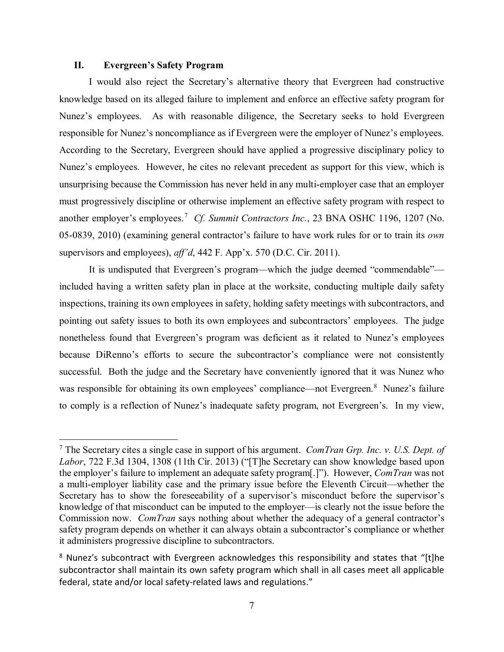## **II. Evergreen's Safety Program**

 $\overline{\phantom{a}}$ 

I would also reject the Secretary's alternative theory that Evergreen had constructive knowledge based on its alleged failure to implement and enforce an effective safety program for Nunez's employees. As with reasonable diligence, the Secretary seeks to hold Evergreen responsible for Nunez's noncompliance as if Evergreen were the employer of Nunez's employees. According to the Secretary, Evergreen should have applied a progressive disciplinary policy to Nunez's employees. However, he cites no relevant precedent as support for this view, which is unsurprising because the Commission has never held in any multi-employer case that an employer must progressively discipline or otherwise implement an effective safety program with respect to another employer's employees.<sup>[7](#page-9-0)</sup> Cf. Summit Contractors Inc., 23 BNA OSHC 1196, 1207 (No. 05-0839, 2010) (examining general contractor's failure to have work rules for or to train its *own* supervisors and employees), *aff'd*, 442 F. App'x. 570 (D.C. Cir. 2011).

It is undisputed that Evergreen's program—which the judge deemed "commendable" included having a written safety plan in place at the worksite, conducting multiple daily safety inspections, training its own employees in safety, holding safety meetings with subcontractors, and pointing out safety issues to both its own employees and subcontractors' employees. The judge nonetheless found that Evergreen's program was deficient as it related to Nunez's employees because DiRenno's efforts to secure the subcontractor's compliance were not consistently successful. Both the judge and the Secretary have conveniently ignored that it was Nunez who was responsible for obtaining its own employees' compliance—not Evergreen.<sup>[8](#page-9-1)</sup> Nunez's failure to comply is a reflection of Nunez's inadequate safety program, not Evergreen's. In my view,

<span id="page-9-0"></span><sup>7</sup> The Secretary cites a single case in support of his argument. *ComTran Grp. Inc. v. U.S. Dept. of Labor*, 722 F.3d 1304, 1308 (11th Cir. 2013) ("[T]he Secretary can show knowledge based upon the employer's failure to implement an adequate safety program[.]"). However, *ComTran* was not a multi-employer liability case and the primary issue before the Eleventh Circuit—whether the Secretary has to show the foreseeability of a supervisor's misconduct before the supervisor's knowledge of that misconduct can be imputed to the employer—is clearly not the issue before the Commission now. *ComTran* says nothing about whether the adequacy of a general contractor's safety program depends on whether it can always obtain a subcontractor's compliance or whether it administers progressive discipline to subcontractors.

<span id="page-9-1"></span><sup>&</sup>lt;sup>8</sup> Nunez's subcontract with Evergreen acknowledges this responsibility and states that "[t]he subcontractor shall maintain its own safety program which shall in all cases meet all applicable federal, state and/or local safety-related laws and regulations."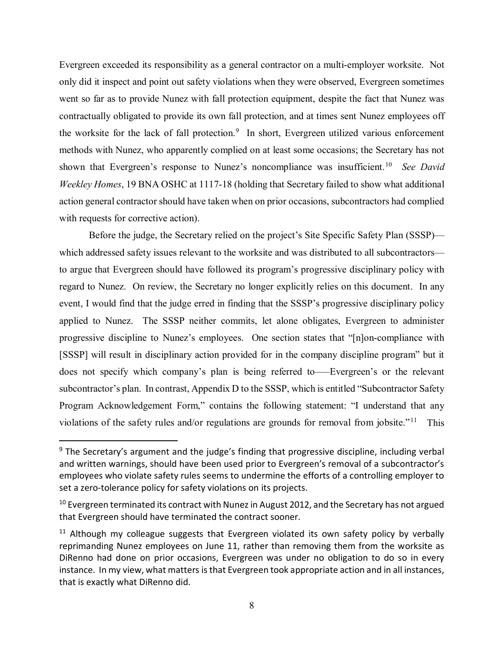Evergreen exceeded its responsibility as a general contractor on a multi-employer worksite. Not only did it inspect and point out safety violations when they were observed, Evergreen sometimes went so far as to provide Nunez with fall protection equipment, despite the fact that Nunez was contractually obligated to provide its own fall protection, and at times sent Nunez employees off the worksite for the lack of fall protection.<sup>[9](#page-10-0)</sup> In short, Evergreen utilized various enforcement methods with Nunez, who apparently complied on at least some occasions; the Secretary has not shown that Evergreen's response to Nunez's noncompliance was insufficient.[10](#page-10-1) *See David Weekley Homes*, 19 BNA OSHC at 1117-18 (holding that Secretary failed to show what additional action general contractor should have taken when on prior occasions, subcontractors had complied with requests for corrective action).

Before the judge, the Secretary relied on the project's Site Specific Safety Plan (SSSP) which addressed safety issues relevant to the worksite and was distributed to all subcontractors to argue that Evergreen should have followed its program's progressive disciplinary policy with regard to Nunez. On review, the Secretary no longer explicitly relies on this document. In any event, I would find that the judge erred in finding that the SSSP's progressive disciplinary policy applied to Nunez. The SSSP neither commits, let alone obligates, Evergreen to administer progressive discipline to Nunez's employees. One section states that "[n]on-compliance with [SSSP] will result in disciplinary action provided for in the company discipline program" but it does not specify which company's plan is being referred to–—Evergreen's or the relevant subcontractor's plan. In contrast, Appendix D to the SSSP, which is entitled "Subcontractor Safety Program Acknowledgement Form," contains the following statement: "I understand that any violations of the safety rules and/or regulations are grounds for removal from jobsite."<sup>11</sup> This

<span id="page-10-0"></span> $9$  The Secretary's argument and the judge's finding that progressive discipline, including verbal and written warnings, should have been used prior to Evergreen's removal of a subcontractor's employees who violate safety rules seems to undermine the efforts of a controlling employer to set a zero-tolerance policy for safety violations on its projects.

<span id="page-10-1"></span> $10$  Evergreen terminated its contract with Nunez in August 2012, and the Secretary has not argued that Evergreen should have terminated the contract sooner.

<span id="page-10-2"></span> $11$  Although my colleague suggests that Evergreen violated its own safety policy by verbally reprimanding Nunez employees on June 11, rather than removing them from the worksite as DiRenno had done on prior occasions, Evergreen was under no obligation to do so in every instance. In my view, what matters is that Evergreen took appropriate action and in all instances, that is exactly what DiRenno did.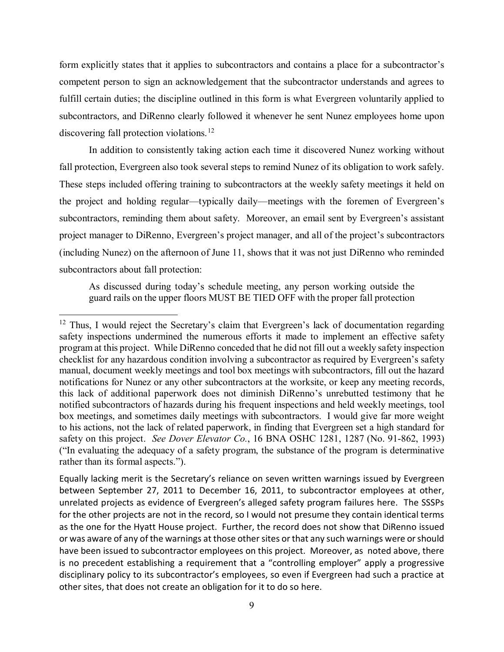form explicitly states that it applies to subcontractors and contains a place for a subcontractor's competent person to sign an acknowledgement that the subcontractor understands and agrees to fulfill certain duties; the discipline outlined in this form is what Evergreen voluntarily applied to subcontractors, and DiRenno clearly followed it whenever he sent Nunez employees home upon discovering fall protection violations.<sup>12</sup>

In addition to consistently taking action each time it discovered Nunez working without fall protection, Evergreen also took several steps to remind Nunez of its obligation to work safely. These steps included offering training to subcontractors at the weekly safety meetings it held on the project and holding regular—typically daily—meetings with the foremen of Evergreen's subcontractors, reminding them about safety. Moreover, an email sent by Evergreen's assistant project manager to DiRenno, Evergreen's project manager, and all of the project's subcontractors (including Nunez) on the afternoon of June 11, shows that it was not just DiRenno who reminded subcontractors about fall protection:

As discussed during today's schedule meeting, any person working outside the guard rails on the upper floors MUST BE TIED OFF with the proper fall protection

<span id="page-11-0"></span> $12$  Thus, I would reject the Secretary's claim that Evergreen's lack of documentation regarding safety inspections undermined the numerous efforts it made to implement an effective safety program at this project. While DiRenno conceded that he did not fill out a weekly safety inspection checklist for any hazardous condition involving a subcontractor as required by Evergreen's safety manual, document weekly meetings and tool box meetings with subcontractors, fill out the hazard notifications for Nunez or any other subcontractors at the worksite, or keep any meeting records, this lack of additional paperwork does not diminish DiRenno's unrebutted testimony that he notified subcontractors of hazards during his frequent inspections and held weekly meetings, tool box meetings, and sometimes daily meetings with subcontractors. I would give far more weight to his actions, not the lack of related paperwork, in finding that Evergreen set a high standard for safety on this project. *See Dover Elevator Co.*, 16 BNA OSHC 1281, 1287 (No. 91-862, 1993) ("In evaluating the adequacy of a safety program, the substance of the program is determinative rather than its formal aspects.").

Equally lacking merit is the Secretary's reliance on seven written warnings issued by Evergreen between September 27, 2011 to December 16, 2011, to subcontractor employees at other, unrelated projects as evidence of Evergreen's alleged safety program failures here. The SSSPs for the other projects are not in the record, so I would not presume they contain identical terms as the one for the Hyatt House project. Further, the record does not show that DiRenno issued or was aware of any of the warnings at those other sites or that any such warnings were or should have been issued to subcontractor employees on this project. Moreover, as noted above, there is no precedent establishing a requirement that a "controlling employer" apply a progressive disciplinary policy to its subcontractor's employees, so even if Evergreen had such a practice at other sites, that does not create an obligation for it to do so here.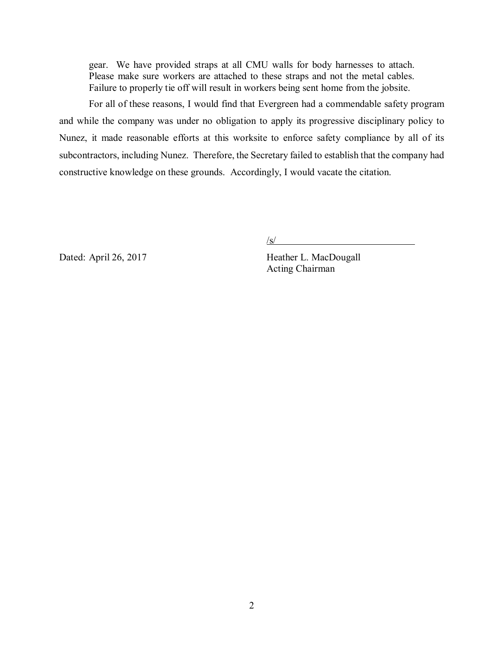gear. We have provided straps at all CMU walls for body harnesses to attach. Please make sure workers are attached to these straps and not the metal cables. Failure to properly tie off will result in workers being sent home from the jobsite.

For all of these reasons, I would find that Evergreen had a commendable safety program and while the company was under no obligation to apply its progressive disciplinary policy to Nunez, it made reasonable efforts at this worksite to enforce safety compliance by all of its subcontractors, including Nunez. Therefore, the Secretary failed to establish that the company had constructive knowledge on these grounds. Accordingly, I would vacate the citation.

 $\sqrt{s/2}$ 

Dated: April 26, 2017 Heather L. MacDougall

Acting Chairman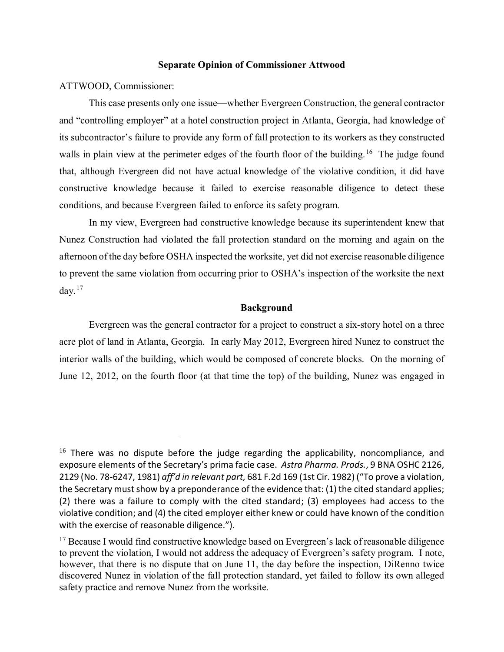## **Separate Opinion of Commissioner Attwood**

ATTWOOD, Commissioner:

 $\overline{\phantom{a}}$ 

This case presents only one issue—whether Evergreen Construction, the general contractor and "controlling employer" at a hotel construction project in Atlanta, Georgia, had knowledge of its subcontractor's failure to provide any form of fall protection to its workers as they constructed walls in plain view at the perimeter edges of the fourth floor of the building.<sup>16</sup> The judge found that, although Evergreen did not have actual knowledge of the violative condition, it did have constructive knowledge because it failed to exercise reasonable diligence to detect these conditions, and because Evergreen failed to enforce its safety program.

In my view, Evergreen had constructive knowledge because its superintendent knew that Nunez Construction had violated the fall protection standard on the morning and again on the afternoon of the day before OSHA inspected the worksite, yet did not exercise reasonable diligence to prevent the same violation from occurring prior to OSHA's inspection of the worksite the next day. $17$ 

## **Background**

Evergreen was the general contractor for a project to construct a six-story hotel on a three acre plot of land in Atlanta, Georgia. In early May 2012, Evergreen hired Nunez to construct the interior walls of the building, which would be composed of concrete blocks. On the morning of June 12, 2012, on the fourth floor (at that time the top) of the building, Nunez was engaged in

<span id="page-13-0"></span> $16$  There was no dispute before the judge regarding the applicability, noncompliance, and exposure elements of the Secretary's prima facie case. *Astra Pharma. Prods.*, 9 BNA OSHC 2126, 2129 (No. 78-6247, 1981) *aff'd in relevant part,* 681 F.2d 169 (1st Cir. 1982) ("To prove a violation, the Secretary must show by a preponderance of the evidence that: (1) the cited standard applies; (2) there was a failure to comply with the cited standard; (3) employees had access to the violative condition; and (4) the cited employer either knew or could have known of the condition with the exercise of reasonable diligence.").

<span id="page-13-1"></span><sup>&</sup>lt;sup>17</sup> Because I would find constructive knowledge based on Evergreen's lack of reasonable diligence to prevent the violation, I would not address the adequacy of Evergreen's safety program. I note, however, that there is no dispute that on June 11, the day before the inspection, DiRenno twice discovered Nunez in violation of the fall protection standard, yet failed to follow its own alleged safety practice and remove Nunez from the worksite.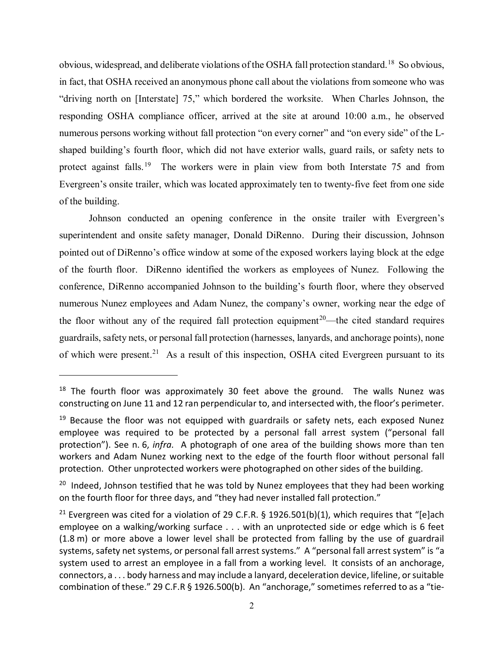obvious, widespread, and deliberate violations of the OSHA fall protection standard.[18](#page-14-0) So obvious, in fact, that OSHA received an anonymous phone call about the violations from someone who was "driving north on [Interstate] 75," which bordered the worksite. When Charles Johnson, the responding OSHA compliance officer, arrived at the site at around 10:00 a.m., he observed numerous persons working without fall protection "on every corner" and "on every side" of the Lshaped building's fourth floor, which did not have exterior walls, guard rails, or safety nets to protect against falls.<sup>19</sup> The workers were in plain view from both Interstate 75 and from Evergreen's onsite trailer, which was located approximately ten to twenty-five feet from one side of the building.

Johnson conducted an opening conference in the onsite trailer with Evergreen's superintendent and onsite safety manager, Donald DiRenno. During their discussion, Johnson pointed out of DiRenno's office window at some of the exposed workers laying block at the edge of the fourth floor. DiRenno identified the workers as employees of Nunez. Following the conference, DiRenno accompanied Johnson to the building's fourth floor, where they observed numerous Nunez employees and Adam Nunez, the company's owner, working near the edge of the floor without any of the required fall protection equipment<sup>[20](#page-14-2)</sup>—the cited standard requires guardrails, safety nets, or personal fall protection (harnesses, lanyards, and anchorage points), none of which were present.<sup>[21](#page-14-3)</sup> As a result of this inspection, OSHA cited Evergreen pursuant to its

<span id="page-14-0"></span> $18$  The fourth floor was approximately 30 feet above the ground. The walls Nunez was constructing on June 11 and 12 ran perpendicular to, and intersected with, the floor's perimeter.

<span id="page-14-1"></span> $19$  Because the floor was not equipped with guardrails or safety nets, each exposed Nunez employee was required to be protected by a personal fall arrest system ("personal fall protection"). See n. 6, *infra.* A photograph of one area of the building shows more than ten workers and Adam Nunez working next to the edge of the fourth floor without personal fall protection. Other unprotected workers were photographed on other sides of the building.

<span id="page-14-2"></span> $20$  Indeed, Johnson testified that he was told by Nunez employees that they had been working on the fourth floor for three days, and "they had never installed fall protection."

<span id="page-14-3"></span><sup>&</sup>lt;sup>21</sup> Evergreen was cited for a violation of 29 C.F.R. § 1926.501(b)(1), which requires that "[e]ach employee on a walking/working surface . . . with an unprotected side or edge which is 6 feet (1.8 m) or more above a lower level shall be protected from falling by the use of guardrail systems, safety net systems, or personal fall arrest systems." A "personal fall arrest system" is "a system used to arrest an employee in a fall from a working level. It consists of an anchorage, connectors, a . . . body harness and may include a lanyard, deceleration device, lifeline, or suitable combination of these." 29 C.F.R § 1926.500(b). An "anchorage," sometimes referred to as a "tie-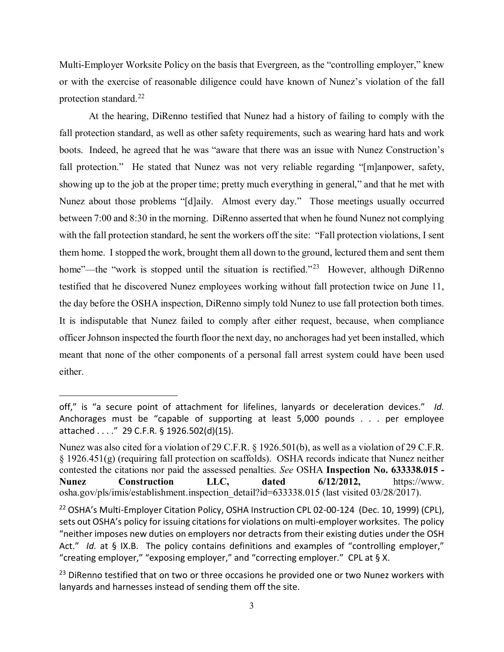Multi-Employer Worksite Policy on the basis that Evergreen, as the "controlling employer," knew or with the exercise of reasonable diligence could have known of Nunez's violation of the fall protection standard. $^{22}$ 

At the hearing, DiRenno testified that Nunez had a history of failing to comply with the fall protection standard, as well as other safety requirements, such as wearing hard hats and work boots. Indeed, he agreed that he was "aware that there was an issue with Nunez Construction's fall protection." He stated that Nunez was not very reliable regarding "[m]anpower, safety, showing up to the job at the proper time; pretty much everything in general," and that he met with Nunez about those problems "[d]aily. Almost every day." Those meetings usually occurred between 7:00 and 8:30 in the morning. DiRenno asserted that when he found Nunez not complying with the fall protection standard, he sent the workers off the site: "Fall protection violations, I sent them home. I stopped the work, brought them all down to the ground, lectured them and sent them home"—the "work is stopped until the situation is rectified."<sup>[23](#page-15-1)</sup> However, although DiRenno testified that he discovered Nunez employees working without fall protection twice on June 11, the day before the OSHA inspection, DiRenno simply told Nunez to use fall protection both times. It is indisputable that Nunez failed to comply after either request, because, when compliance officer Johnson inspected the fourth floor the next day, no anchorages had yet been installed, which meant that none of the other components of a personal fall arrest system could have been used either.

off," is "a secure point of attachment for lifelines, lanyards or deceleration devices." *Id.* Anchorages must be "capable of supporting at least 5,000 pounds . . . per employee attached . . . ." 29 C.F.R. § 1926.502(d)(15).

Nunez was also cited for a violation of 29 C.F.R. § 1926.501(b), as well as a violation of 29 C.F.R. § 1926.451(g) (requiring fall protection on scaffolds). OSHA records indicate that Nunez neither contested the citations nor paid the assessed penalties. *See* OSHA **Inspection No. 633338.015 - Nunez Construction LLC, dated 6/12/2012,** https://www. osha.gov/pls/imis/establishment.inspection\_detail?id=633338.015 (last visited 03/28/2017).

<span id="page-15-0"></span><sup>&</sup>lt;sup>22</sup> OSHA's Multi-Employer Citation Policy, OSHA Instruction CPL 02-00-124 (Dec. 10, 1999) (CPL), sets out OSHA's policy for issuing citations for violations on multi-employer worksites. The policy "neither imposes new duties on employers nor detracts from their existing duties under the OSH Act." *Id.* at § IX.B. The policy contains definitions and examples of "controlling employer," "creating employer," "exposing employer," and "correcting employer." CPL at § X.

<span id="page-15-1"></span> $23$  DiRenno testified that on two or three occasions he provided one or two Nunez workers with lanyards and harnesses instead of sending them off the site.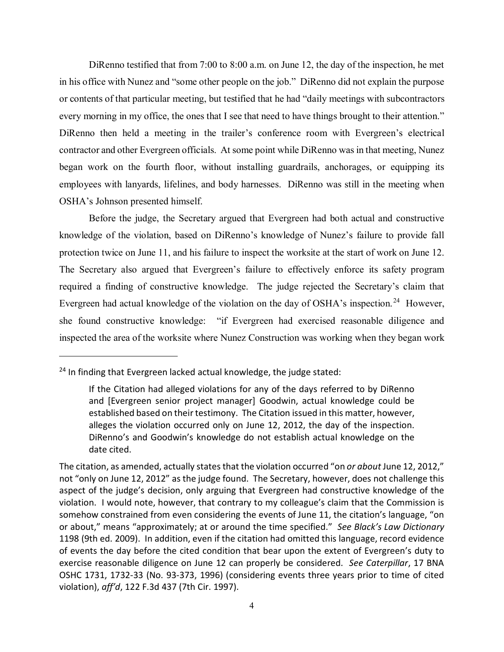DiRenno testified that from 7:00 to 8:00 a.m. on June 12, the day of the inspection, he met in his office with Nunez and "some other people on the job." DiRenno did not explain the purpose or contents of that particular meeting, but testified that he had "daily meetings with subcontractors every morning in my office, the ones that I see that need to have things brought to their attention." DiRenno then held a meeting in the trailer's conference room with Evergreen's electrical contractor and other Evergreen officials. At some point while DiRenno was in that meeting, Nunez began work on the fourth floor, without installing guardrails, anchorages, or equipping its employees with lanyards, lifelines, and body harnesses. DiRenno was still in the meeting when OSHA's Johnson presented himself.

Before the judge, the Secretary argued that Evergreen had both actual and constructive knowledge of the violation, based on DiRenno's knowledge of Nunez's failure to provide fall protection twice on June 11, and his failure to inspect the worksite at the start of work on June 12. The Secretary also argued that Evergreen's failure to effectively enforce its safety program required a finding of constructive knowledge. The judge rejected the Secretary's claim that Evergreen had actual knowledge of the violation on the day of OSHA's inspection.<sup>[24](#page-16-0)</sup> However, she found constructive knowledge: "if Evergreen had exercised reasonable diligence and inspected the area of the worksite where Nunez Construction was working when they began work

<span id="page-16-0"></span><sup>&</sup>lt;sup>24</sup> In finding that Evergreen lacked actual knowledge, the judge stated:

If the Citation had alleged violations for any of the days referred to by DiRenno and [Evergreen senior project manager] Goodwin, actual knowledge could be established based on their testimony. The Citation issued in this matter, however, alleges the violation occurred only on June 12, 2012, the day of the inspection. DiRenno's and Goodwin's knowledge do not establish actual knowledge on the date cited.

The citation, as amended, actually states that the violation occurred "on *or about* June 12, 2012," not "only on June 12, 2012" as the judge found. The Secretary, however, does not challenge this aspect of the judge's decision, only arguing that Evergreen had constructive knowledge of the violation. I would note, however, that contrary to my colleague's claim that the Commission is somehow constrained from even considering the events of June 11, the citation's language, "on or about," means "approximately; at or around the time specified." *See Black's Law Dictionary* 1198 (9th ed. 2009). In addition, even if the citation had omitted this language, record evidence of events the day before the cited condition that bear upon the extent of Evergreen's duty to exercise reasonable diligence on June 12 can properly be considered. *See Caterpillar*, 17 BNA OSHC 1731, 1732-33 (No. 93-373, 1996) (considering events three years prior to time of cited violation), *aff'd*, 122 F.3d 437 (7th Cir. 1997).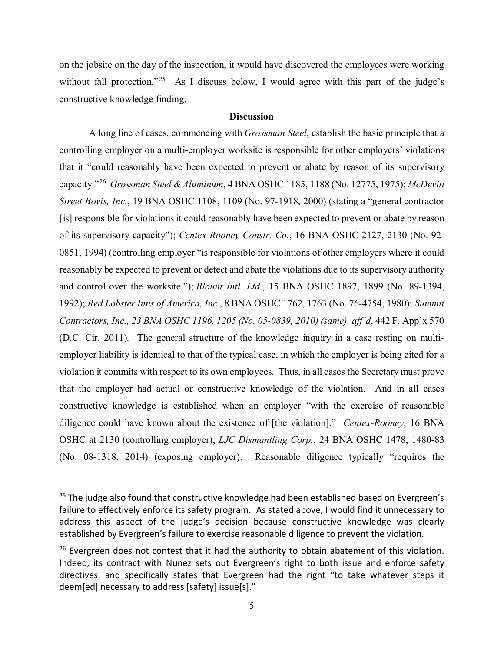on the jobsite on the day of the inspection, it would have discovered the employees were working without fall protection."<sup>[25](#page-17-0)</sup> As I discuss below, I would agree with this part of the judge's constructive knowledge finding.

## **Discussion**

A long line of cases, commencing with *Grossman Steel*, establish the basic principle that a controlling employer on a multi-employer worksite is responsible for other employers' violations that it "could reasonably have been expected to prevent or abate by reason of its supervisory capacity."[26](#page-17-1) *Grossman Steel & Aluminum*, 4 BNA OSHC 1185, 1188 (No. 12775, 1975); *McDevitt Street Bovis, Inc.*, 19 BNA OSHC 1108, 1109 (No. 97-1918, 2000) (stating a "general contractor [is] responsible for violations it could reasonably have been expected to prevent or abate by reason of its supervisory capacity"); *Centex-Rooney Constr. Co.*, 16 BNA OSHC 2127, 2130 (No. 92- 0851, 1994) (controlling employer "is responsible for violations of other employers where it could reasonably be expected to prevent or detect and abate the violations due to its supervisory authority and control over the worksite."); *Blount Intl. Ltd.*, 15 BNA OSHC 1897, 1899 (No. 89-1394, 1992); *Red Lobster Inns of America, Inc.*, 8 BNA OSHC 1762, 1763 (No. 76-4754, 1980); *Summit Contractors, Inc., 23 BNA OSHC 1196, 1205 (No. 05-0839, 2010) (same), aff'd*, 442 F. App'x 570 (D.C. Cir. 2011)*.* The general structure of the knowledge inquiry in a case resting on multiemployer liability is identical to that of the typical case, in which the employer is being cited for a violation it commits with respect to its own employees. Thus, in all cases the Secretary must prove that the employer had actual or constructive knowledge of the violation. And in all cases constructive knowledge is established when an employer "with the exercise of reasonable diligence could have known about the existence of [the violation]." *Centex-Rooney*, 16 BNA OSHC at 2130 (controlling employer); *LJC Dismantling Corp.*, 24 BNA OSHC 1478, 1480-83 (No. 08-1318, 2014) (exposing employer). Reasonable diligence typically "requires the

<span id="page-17-0"></span><sup>&</sup>lt;sup>25</sup> The judge also found that constructive knowledge had been established based on Evergreen's failure to effectively enforce its safety program. As stated above, I would find it unnecessary to address this aspect of the judge's decision because constructive knowledge was clearly established by Evergreen's failure to exercise reasonable diligence to prevent the violation.

<span id="page-17-1"></span> $26$  Evergreen does not contest that it had the authority to obtain abatement of this violation. Indeed, its contract with Nunez sets out Evergreen's right to both issue and enforce safety directives, and specifically states that Evergreen had the right "to take whatever steps it deem[ed] necessary to address [safety] issue[s]."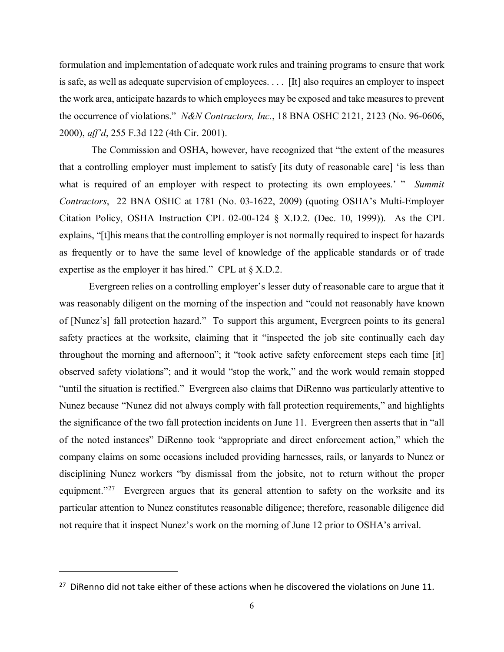formulation and implementation of adequate work rules and training programs to ensure that work is safe, as well as adequate supervision of employees. . . . [It] also requires an employer to inspect the work area, anticipate hazards to which employees may be exposed and take measures to prevent the occurrence of violations." *N&N Contractors, Inc.*, 18 BNA OSHC 2121, 2123 (No. 96-0606, 2000), *aff'd*, 255 F.3d 122 (4th Cir. 2001).

The Commission and OSHA, however, have recognized that "the extent of the measures that a controlling employer must implement to satisfy [its duty of reasonable care] 'is less than what is required of an employer with respect to protecting its own employees.' " *Summit Contractors*, 22 BNA OSHC at 1781 (No. 03-1622, 2009) (quoting OSHA's Multi-Employer Citation Policy, OSHA Instruction CPL 02-00-124 § X.D.2. (Dec. 10, 1999)). As the CPL explains, "[t]his means that the controlling employer is not normally required to inspect for hazards as frequently or to have the same level of knowledge of the applicable standards or of trade expertise as the employer it has hired." CPL at § X.D.2.

Evergreen relies on a controlling employer's lesser duty of reasonable care to argue that it was reasonably diligent on the morning of the inspection and "could not reasonably have known of [Nunez's] fall protection hazard." To support this argument, Evergreen points to its general safety practices at the worksite, claiming that it "inspected the job site continually each day throughout the morning and afternoon"; it "took active safety enforcement steps each time [it] observed safety violations"; and it would "stop the work," and the work would remain stopped "until the situation is rectified." Evergreen also claims that DiRenno was particularly attentive to Nunez because "Nunez did not always comply with fall protection requirements," and highlights the significance of the two fall protection incidents on June 11. Evergreen then asserts that in "all of the noted instances" DiRenno took "appropriate and direct enforcement action," which the company claims on some occasions included providing harnesses, rails, or lanyards to Nunez or disciplining Nunez workers "by dismissal from the jobsite, not to return without the proper equipment. $27$  Evergreen argues that its general attention to safety on the worksite and its particular attention to Nunez constitutes reasonable diligence; therefore, reasonable diligence did not require that it inspect Nunez's work on the morning of June 12 prior to OSHA's arrival.

<span id="page-18-0"></span> $27$  DiRenno did not take either of these actions when he discovered the violations on June 11.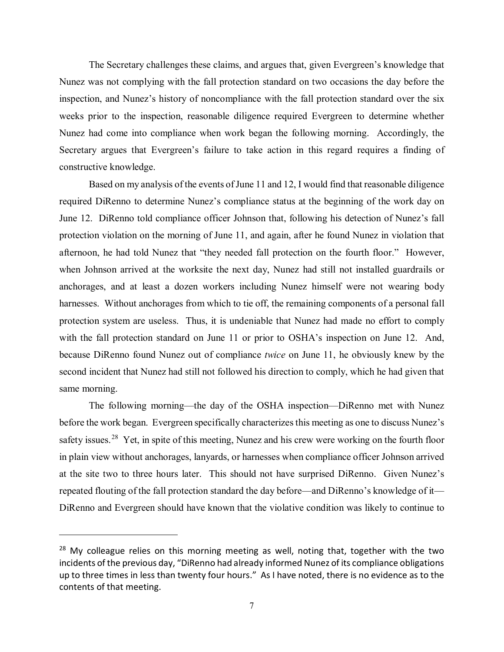The Secretary challenges these claims, and argues that, given Evergreen's knowledge that Nunez was not complying with the fall protection standard on two occasions the day before the inspection, and Nunez's history of noncompliance with the fall protection standard over the six weeks prior to the inspection, reasonable diligence required Evergreen to determine whether Nunez had come into compliance when work began the following morning. Accordingly, the Secretary argues that Evergreen's failure to take action in this regard requires a finding of constructive knowledge.

Based on my analysis of the events of June 11 and 12, I would find that reasonable diligence required DiRenno to determine Nunez's compliance status at the beginning of the work day on June 12. DiRenno told compliance officer Johnson that, following his detection of Nunez's fall protection violation on the morning of June 11, and again, after he found Nunez in violation that afternoon, he had told Nunez that "they needed fall protection on the fourth floor." However, when Johnson arrived at the worksite the next day, Nunez had still not installed guardrails or anchorages, and at least a dozen workers including Nunez himself were not wearing body harnesses. Without anchorages from which to tie off, the remaining components of a personal fall protection system are useless. Thus, it is undeniable that Nunez had made no effort to comply with the fall protection standard on June 11 or prior to OSHA's inspection on June 12. And, because DiRenno found Nunez out of compliance *twice* on June 11, he obviously knew by the second incident that Nunez had still not followed his direction to comply, which he had given that same morning.

The following morning—the day of the OSHA inspection—DiRenno met with Nunez before the work began. Evergreen specifically characterizes this meeting as one to discuss Nunez's safety issues.<sup>28</sup> Yet, in spite of this meeting, Nunez and his crew were working on the fourth floor in plain view without anchorages, lanyards, or harnesses when compliance officer Johnson arrived at the site two to three hours later. This should not have surprised DiRenno. Given Nunez's repeated flouting of the fall protection standard the day before—and DiRenno's knowledge of it— DiRenno and Evergreen should have known that the violative condition was likely to continue to

<span id="page-19-0"></span> $28$  My colleague relies on this morning meeting as well, noting that, together with the two incidents of the previous day, "DiRenno had already informed Nunez of its compliance obligations up to three times in less than twenty four hours." As I have noted, there is no evidence as to the contents of that meeting.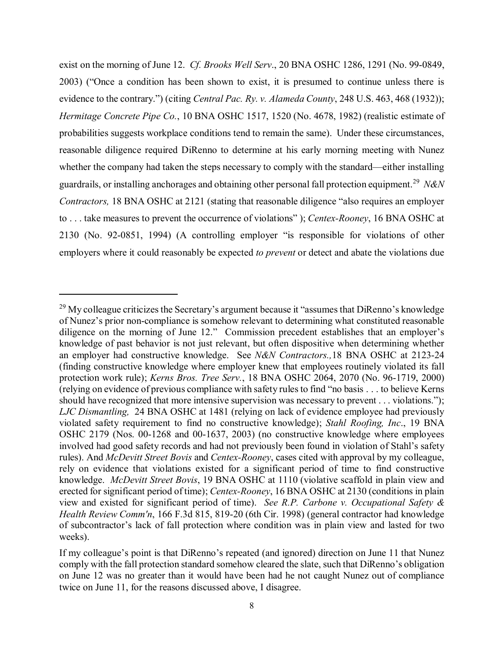exist on the morning of June 12. *Cf. Brooks Well Serv*., 20 BNA OSHC 1286, 1291 (No. 99-0849, 2003) ("Once a condition has been shown to exist, it is presumed to continue unless there is evidence to the contrary.") (citing *Central Pac. Ry. v. Alameda County*, 248 U.S. 463, 468 (1932)); *Hermitage Concrete Pipe Co.*, 10 BNA OSHC 1517, 1520 (No. 4678, 1982) (realistic estimate of probabilities suggests workplace conditions tend to remain the same). Under these circumstances, reasonable diligence required DiRenno to determine at his early morning meeting with Nunez whether the company had taken the steps necessary to comply with the standard—either installing guardrails, or installing anchorages and obtaining other personal fall protection equipment.[29](#page-20-0) *N&N Contractors,* 18 BNA OSHC at 2121 (stating that reasonable diligence "also requires an employer to . . . take measures to prevent the occurrence of violations" ); *Centex-Rooney*, 16 BNA OSHC at 2130 (No. 92-0851, 1994) (A controlling employer "is responsible for violations of other employers where it could reasonably be expected *to prevent* or detect and abate the violations due

<span id="page-20-0"></span> $^{29}$  My colleague criticizes the Secretary's argument because it "assumes that DiRenno's knowledge of Nunez's prior non-compliance is somehow relevant to determining what constituted reasonable diligence on the morning of June 12." Commission precedent establishes that an employer's knowledge of past behavior is not just relevant, but often dispositive when determining whether an employer had constructive knowledge. See *N&N Contractors.,*18 BNA OSHC at 2123-24 (finding constructive knowledge where employer knew that employees routinely violated its fall protection work rule); *Kerns Bros. Tree Serv.*, 18 BNA OSHC 2064, 2070 (No. 96-1719, 2000) (relying on evidence of previous compliance with safety rules to find "no basis . . . to believe Kerns should have recognized that more intensive supervision was necessary to prevent . . . violations."); *LJC Dismantling,* 24 BNA OSHC at 1481 (relying on lack of evidence employee had previously violated safety requirement to find no constructive knowledge); *Stahl Roofing, Inc*., 19 BNA OSHC 2179 (Nos. 00-1268 and 00-1637, 2003) (no constructive knowledge where employees involved had good safety records and had not previously been found in violation of Stahl's safety rules). And *McDevitt Street Bovis* and *Centex-Rooney*, cases cited with approval by my colleague, rely on evidence that violations existed for a significant period of time to find constructive knowledge. *McDevitt Street Bovis*, 19 BNA OSHC at 1110 (violative scaffold in plain view and erected for significant period of time); *Centex-Rooney*, 16 BNA OSHC at 2130 (conditions in plain view and existed for significant period of time). *See R.P. Carbone v. Occupational Safety & Health Review Comm'n*, 166 F.3d 815, 819-20 (6th Cir. 1998) (general contractor had knowledge of subcontractor's lack of fall protection where condition was in plain view and lasted for two weeks).

If my colleague's point is that DiRenno's repeated (and ignored) direction on June 11 that Nunez comply with the fall protection standard somehow cleared the slate, such that DiRenno's obligation on June 12 was no greater than it would have been had he not caught Nunez out of compliance twice on June 11, for the reasons discussed above, I disagree.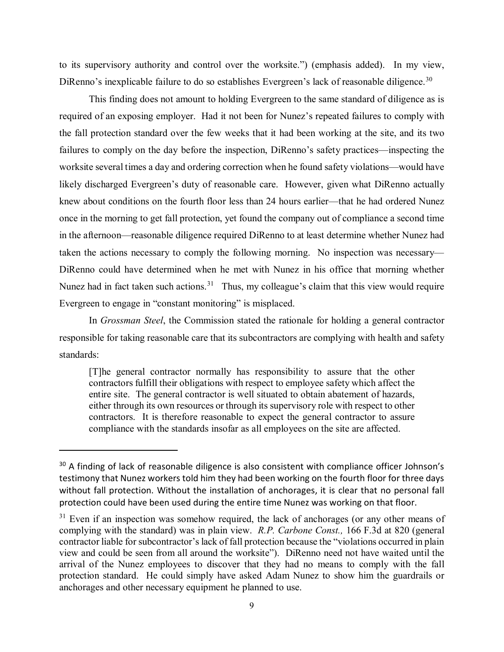to its supervisory authority and control over the worksite.") (emphasis added). In my view, DiRenno's inexplicable failure to do so establishes Evergreen's lack of reasonable diligence.<sup>30</sup>

This finding does not amount to holding Evergreen to the same standard of diligence as is required of an exposing employer. Had it not been for Nunez's repeated failures to comply with the fall protection standard over the few weeks that it had been working at the site, and its two failures to comply on the day before the inspection, DiRenno's safety practices—inspecting the worksite several times a day and ordering correction when he found safety violations—would have likely discharged Evergreen's duty of reasonable care. However, given what DiRenno actually knew about conditions on the fourth floor less than 24 hours earlier—that he had ordered Nunez once in the morning to get fall protection, yet found the company out of compliance a second time in the afternoon—reasonable diligence required DiRenno to at least determine whether Nunez had taken the actions necessary to comply the following morning. No inspection was necessary— DiRenno could have determined when he met with Nunez in his office that morning whether Nunez had in fact taken such actions.<sup>31</sup> Thus, my colleague's claim that this view would require Evergreen to engage in "constant monitoring" is misplaced.

In *Grossman Steel*, the Commission stated the rationale for holding a general contractor responsible for taking reasonable care that its subcontractors are complying with health and safety standards:

[T]he general contractor normally has responsibility to assure that the other contractors fulfill their obligations with respect to employee safety which affect the entire site. The general contractor is well situated to obtain abatement of hazards, either through its own resources or through its supervisory role with respect to other contractors. It is therefore reasonable to expect the general contractor to assure compliance with the standards insofar as all employees on the site are affected.

<span id="page-21-0"></span><sup>&</sup>lt;sup>30</sup> A finding of lack of reasonable diligence is also consistent with compliance officer Johnson's testimony that Nunez workers told him they had been working on the fourth floor for three days without fall protection. Without the installation of anchorages, it is clear that no personal fall protection could have been used during the entire time Nunez was working on that floor.

<span id="page-21-1"></span> $31$  Even if an inspection was somehow required, the lack of anchorages (or any other means of complying with the standard) was in plain view. *R.P. Carbone Const.,* 166 F.3d at 820 (general contractor liable for subcontractor's lack of fall protection because the "violations occurred in plain view and could be seen from all around the worksite"). DiRenno need not have waited until the arrival of the Nunez employees to discover that they had no means to comply with the fall protection standard. He could simply have asked Adam Nunez to show him the guardrails or anchorages and other necessary equipment he planned to use.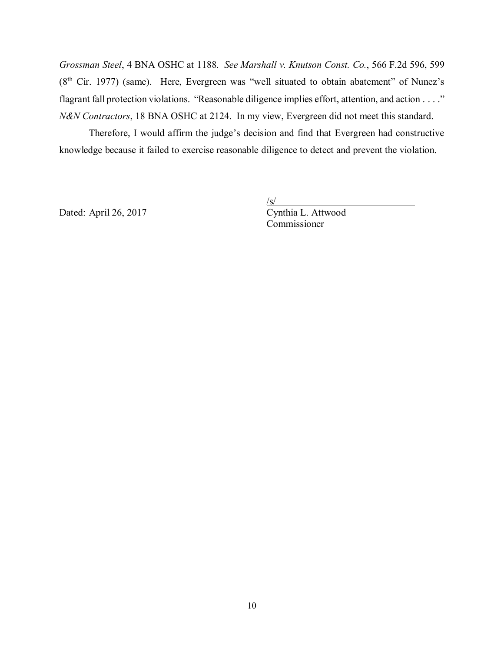*Grossman Steel*, 4 BNA OSHC at 1188. *See Marshall v. Knutson Const. Co.*, 566 F.2d 596, 599  $(8<sup>th</sup> Cir. 1977)$  (same). Here, Evergreen was "well situated to obtain abatement" of Nunez's flagrant fall protection violations. "Reasonable diligence implies effort, attention, and action . . . ." *N&N Contractors*, 18 BNA OSHC at 2124. In my view, Evergreen did not meet this standard.

Therefore, I would affirm the judge's decision and find that Evergreen had constructive knowledge because it failed to exercise reasonable diligence to detect and prevent the violation.

Dated: April 26, 2017 Cynthia L. Attwood

 $\sqrt{s/2}$ 

Commissioner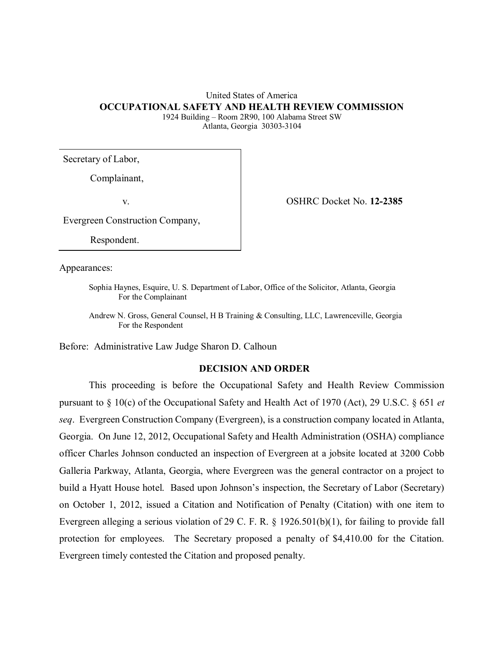## United States of America **OCCUPATIONAL SAFETY AND HEALTH REVIEW COMMISSION** 1924 Building – Room 2R90, 100 Alabama Street SW

Atlanta, Georgia 30303-3104

Secretary of Labor,

Complainant,

v. OSHRC Docket No. **12-2385**

Evergreen Construction Company,

Respondent.

Appearances:

Sophia Haynes, Esquire, U. S. Department of Labor, Office of the Solicitor, Atlanta, Georgia For the Complainant

Andrew N. Gross, General Counsel, H B Training & Consulting, LLC, Lawrenceville, Georgia For the Respondent

Before: Administrative Law Judge Sharon D. Calhoun

## **DECISION AND ORDER**

This proceeding is before the Occupational Safety and Health Review Commission pursuant to § 10(c) of the Occupational Safety and Health Act of 1970 (Act), 29 U.S.C. § 651 *et seq*. Evergreen Construction Company (Evergreen), is a construction company located in Atlanta, Georgia. On June 12, 2012, Occupational Safety and Health Administration (OSHA) compliance officer Charles Johnson conducted an inspection of Evergreen at a jobsite located at 3200 Cobb Galleria Parkway, Atlanta, Georgia, where Evergreen was the general contractor on a project to build a Hyatt House hotel. Based upon Johnson's inspection, the Secretary of Labor (Secretary) on October 1, 2012, issued a Citation and Notification of Penalty (Citation) with one item to Evergreen alleging a serious violation of 29 C. F. R. § 1926.501(b)(1), for failing to provide fall protection for employees. The Secretary proposed a penalty of \$4,410.00 for the Citation. Evergreen timely contested the Citation and proposed penalty.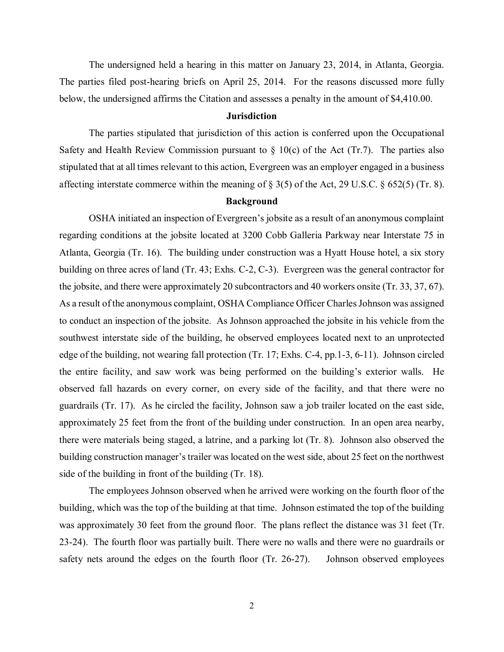The undersigned held a hearing in this matter on January 23, 2014, in Atlanta, Georgia. The parties filed post-hearing briefs on April 25, 2014. For the reasons discussed more fully below, the undersigned affirms the Citation and assesses a penalty in the amount of \$4,410.00.

### **Jurisdiction**

The parties stipulated that jurisdiction of this action is conferred upon the Occupational Safety and Health Review Commission pursuant to  $\S$  10(c) of the Act (Tr.7). The parties also stipulated that at all times relevant to this action, Evergreen was an employer engaged in a business affecting interstate commerce within the meaning of § 3(5) of the Act, 29 U.S.C. § 652(5) (Tr. 8).

#### **Background**

OSHA initiated an inspection of Evergreen's jobsite as a result of an anonymous complaint regarding conditions at the jobsite located at 3200 Cobb Galleria Parkway near Interstate 75 in Atlanta, Georgia (Tr. 16). The building under construction was a Hyatt House hotel, a six story building on three acres of land (Tr. 43; Exhs. C-2, C-3). Evergreen was the general contractor for the jobsite, and there were approximately 20 subcontractors and 40 workers onsite (Tr. 33, 37, 67). As a result of the anonymous complaint, OSHA Compliance Officer Charles Johnson was assigned to conduct an inspection of the jobsite. As Johnson approached the jobsite in his vehicle from the southwest interstate side of the building, he observed employees located next to an unprotected edge of the building, not wearing fall protection (Tr. 17; Exhs. C-4, pp.1-3, 6-11). Johnson circled the entire facility, and saw work was being performed on the building's exterior walls. He observed fall hazards on every corner, on every side of the facility, and that there were no guardrails (Tr. 17). As he circled the facility, Johnson saw a job trailer located on the east side, approximately 25 feet from the front of the building under construction. In an open area nearby, there were materials being staged, a latrine, and a parking lot (Tr. 8). Johnson also observed the building construction manager's trailer was located on the west side, about 25 feet on the northwest side of the building in front of the building (Tr. 18).

The employees Johnson observed when he arrived were working on the fourth floor of the building, which was the top of the building at that time. Johnson estimated the top of the building was approximately 30 feet from the ground floor. The plans reflect the distance was 31 feet (Tr. 23-24). The fourth floor was partially built. There were no walls and there were no guardrails or safety nets around the edges on the fourth floor (Tr. 26-27). Johnson observed employees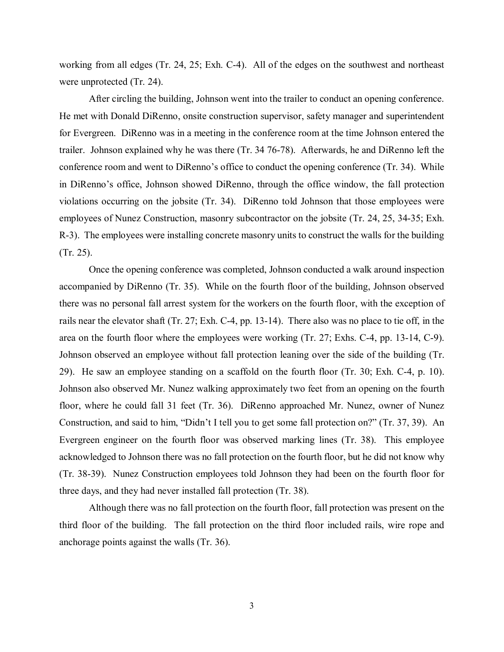working from all edges (Tr. 24, 25; Exh. C-4). All of the edges on the southwest and northeast were unprotected (Tr. 24).

After circling the building, Johnson went into the trailer to conduct an opening conference. He met with Donald DiRenno, onsite construction supervisor, safety manager and superintendent for Evergreen. DiRenno was in a meeting in the conference room at the time Johnson entered the trailer. Johnson explained why he was there (Tr. 34 76-78). Afterwards, he and DiRenno left the conference room and went to DiRenno's office to conduct the opening conference (Tr. 34). While in DiRenno's office, Johnson showed DiRenno, through the office window, the fall protection violations occurring on the jobsite (Tr. 34). DiRenno told Johnson that those employees were employees of Nunez Construction, masonry subcontractor on the jobsite (Tr. 24, 25, 34-35; Exh. R-3). The employees were installing concrete masonry units to construct the walls for the building (Tr. 25).

Once the opening conference was completed, Johnson conducted a walk around inspection accompanied by DiRenno (Tr. 35). While on the fourth floor of the building, Johnson observed there was no personal fall arrest system for the workers on the fourth floor, with the exception of rails near the elevator shaft (Tr. 27; Exh. C-4, pp. 13-14). There also was no place to tie off, in the area on the fourth floor where the employees were working (Tr. 27; Exhs. C-4, pp. 13-14, C-9). Johnson observed an employee without fall protection leaning over the side of the building (Tr. 29). He saw an employee standing on a scaffold on the fourth floor (Tr. 30; Exh. C-4, p. 10). Johnson also observed Mr. Nunez walking approximately two feet from an opening on the fourth floor, where he could fall 31 feet (Tr. 36). DiRenno approached Mr. Nunez, owner of Nunez Construction, and said to him, "Didn't I tell you to get some fall protection on?" (Tr. 37, 39). An Evergreen engineer on the fourth floor was observed marking lines (Tr. 38). This employee acknowledged to Johnson there was no fall protection on the fourth floor, but he did not know why (Tr. 38-39). Nunez Construction employees told Johnson they had been on the fourth floor for three days, and they had never installed fall protection (Tr. 38).

Although there was no fall protection on the fourth floor, fall protection was present on the third floor of the building. The fall protection on the third floor included rails, wire rope and anchorage points against the walls (Tr. 36).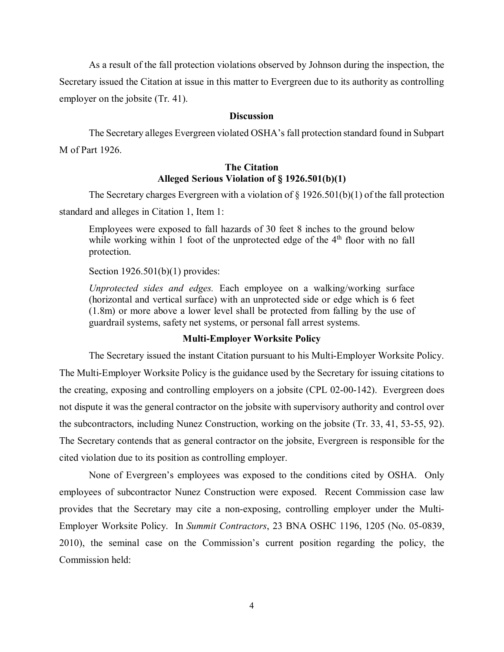As a result of the fall protection violations observed by Johnson during the inspection, the Secretary issued the Citation at issue in this matter to Evergreen due to its authority as controlling employer on the jobsite (Tr. 41).

#### **Discussion**

The Secretary alleges Evergreen violated OSHA's fall protection standard found in Subpart M of Part 1926.

## **The Citation Alleged Serious Violation of § 1926.501(b)(1)**

The Secretary charges Evergreen with a violation of  $\S 1926.501(b)(1)$  of the fall protection standard and alleges in Citation 1, Item 1:

Employees were exposed to fall hazards of 30 feet 8 inches to the ground below while working within 1 foot of the unprotected edge of the  $4<sup>th</sup>$  floor with no fall protection.

Section 1926.501(b)(1) provides:

*Unprotected sides and edges.* Each employee on a walking/working surface (horizontal and vertical surface) with an unprotected side or edge which is 6 feet (1.8m) or more above a lower level shall be protected from falling by the use of guardrail systems, safety net systems, or personal fall arrest systems.

### **Multi-Employer Worksite Policy**

The Secretary issued the instant Citation pursuant to his Multi-Employer Worksite Policy.

The Multi-Employer Worksite Policy is the guidance used by the Secretary for issuing citations to the creating, exposing and controlling employers on a jobsite (CPL 02-00-142). Evergreen does not dispute it was the general contractor on the jobsite with supervisory authority and control over the subcontractors, including Nunez Construction, working on the jobsite (Tr. 33, 41, 53-55, 92). The Secretary contends that as general contractor on the jobsite, Evergreen is responsible for the cited violation due to its position as controlling employer.

None of Evergreen's employees was exposed to the conditions cited by OSHA. Only employees of subcontractor Nunez Construction were exposed. Recent Commission case law provides that the Secretary may cite a non-exposing, controlling employer under the Multi-Employer Worksite Policy. In *Summit Contractors*, 23 BNA OSHC 1196, 1205 (No. 05-0839, 2010), the seminal case on the Commission's current position regarding the policy, the Commission held: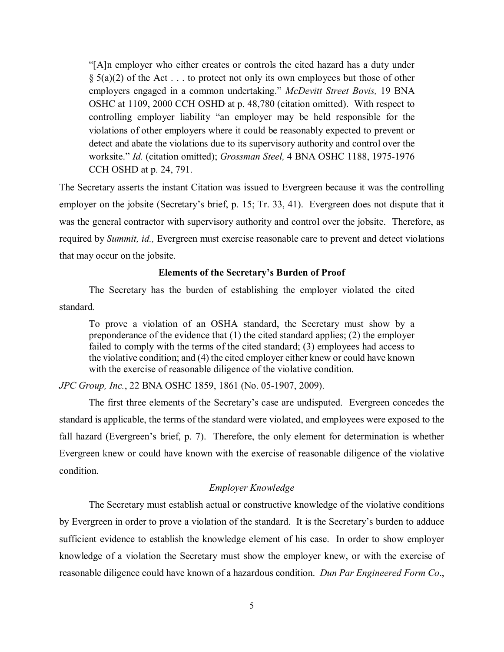"[A]n employer who either creates or controls the cited hazard has a duty under  $\S$  5(a)(2) of the Act... to protect not only its own employees but those of other employers engaged in a common undertaking." *McDevitt Street Bovis,* 19 BNA OSHC at 1109, 2000 CCH OSHD at p. 48,780 (citation omitted). With respect to controlling employer liability "an employer may be held responsible for the violations of other employers where it could be reasonably expected to prevent or detect and abate the violations due to its supervisory authority and control over the worksite." *Id.* (citation omitted); *Grossman Steel,* 4 BNA OSHC 1188, 1975-1976 CCH OSHD at p. 24, 791.

The Secretary asserts the instant Citation was issued to Evergreen because it was the controlling employer on the jobsite (Secretary's brief, p. 15; Tr. 33, 41). Evergreen does not dispute that it was the general contractor with supervisory authority and control over the jobsite. Therefore, as required by *Summit, id.,* Evergreen must exercise reasonable care to prevent and detect violations that may occur on the jobsite.

### **Elements of the Secretary's Burden of Proof**

The Secretary has the burden of establishing the employer violated the cited standard.

To prove a violation of an OSHA standard, the Secretary must show by a preponderance of the evidence that (1) the cited standard applies; (2) the employer failed to comply with the terms of the cited standard; (3) employees had access to the violative condition; and (4) the cited employer either knew or could have known with the exercise of reasonable diligence of the violative condition.

*JPC Group, Inc.*, 22 BNA OSHC 1859, 1861 (No. 05-1907, 2009).

The first three elements of the Secretary's case are undisputed. Evergreen concedes the standard is applicable, the terms of the standard were violated, and employees were exposed to the fall hazard (Evergreen's brief, p. 7). Therefore, the only element for determination is whether Evergreen knew or could have known with the exercise of reasonable diligence of the violative condition.

## *Employer Knowledge*

The Secretary must establish actual or constructive knowledge of the violative conditions by Evergreen in order to prove a violation of the standard. It is the Secretary's burden to adduce sufficient evidence to establish the knowledge element of his case. In order to show employer knowledge of a violation the Secretary must show the employer knew, or with the exercise of reasonable diligence could have known of a hazardous condition. *Dun Par Engineered Form Co*.,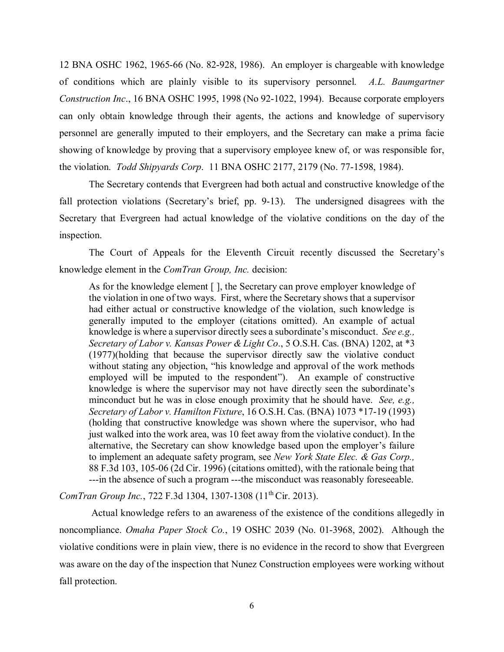12 BNA OSHC 1962, 1965-66 (No. 82-928, 1986). An employer is chargeable with knowledge of conditions which are plainly visible to its supervisory personnel. *A.L. Baumgartner Construction Inc*., 16 BNA OSHC 1995, 1998 (No 92-1022, 1994). Because corporate employers can only obtain knowledge through their agents, the actions and knowledge of supervisory personnel are generally imputed to their employers, and the Secretary can make a prima facie showing of knowledge by proving that a supervisory employee knew of, or was responsible for, the violation. *Todd Shipyards Corp*. 11 BNA OSHC 2177, 2179 (No. 77-1598, 1984).

The Secretary contends that Evergreen had both actual and constructive knowledge of the fall protection violations (Secretary's brief, pp. 9-13). The undersigned disagrees with the Secretary that Evergreen had actual knowledge of the violative conditions on the day of the inspection.

The Court of Appeals for the Eleventh Circuit recently discussed the Secretary's knowledge element in the *ComTran Group, Inc.* decision:

As for the knowledge element [ ], the Secretary can prove employer knowledge of the violation in one of two ways. First, where the Secretary shows that a supervisor had either actual or constructive knowledge of the violation, such knowledge is generally imputed to the employer (citations omitted). An example of actual knowledge is where a supervisor directly sees a subordinate's misconduct. *See e.g., Secretary of Labor v. Kansas Power & Light Co*., 5 O.S.H. Cas. (BNA) 1202, at \*3 (1977)(holding that because the supervisor directly saw the violative conduct without stating any objection, "his knowledge and approval of the work methods employed will be imputed to the respondent"). An example of constructive knowledge is where the supervisor may not have directly seen the subordinate's minconduct but he was in close enough proximity that he should have. *See, e.g., Secretary of Labor v. Hamilton Fixture*, 16 O.S.H. Cas. (BNA) 1073 \*17-19 (1993) (holding that constructive knowledge was shown where the supervisor, who had just walked into the work area, was 10 feet away from the violative conduct). In the alternative, the Secretary can show knowledge based upon the employer's failure to implement an adequate safety program, see *New York State Elec. & Gas Corp.,*  88 F.3d 103, 105-06 (2d Cir. 1996) (citations omitted), with the rationale being that ---in the absence of such a program ---the misconduct was reasonably foreseeable.

*ComTran Group Inc.*, 722 F.3d 1304, 1307-1308 (11<sup>th</sup> Cir. 2013).

 Actual knowledge refers to an awareness of the existence of the conditions allegedly in noncompliance. *Omaha Paper Stock Co.*, 19 OSHC 2039 (No. 01-3968, 2002).Although the violative conditions were in plain view, there is no evidence in the record to show that Evergreen was aware on the day of the inspection that Nunez Construction employees were working without fall protection.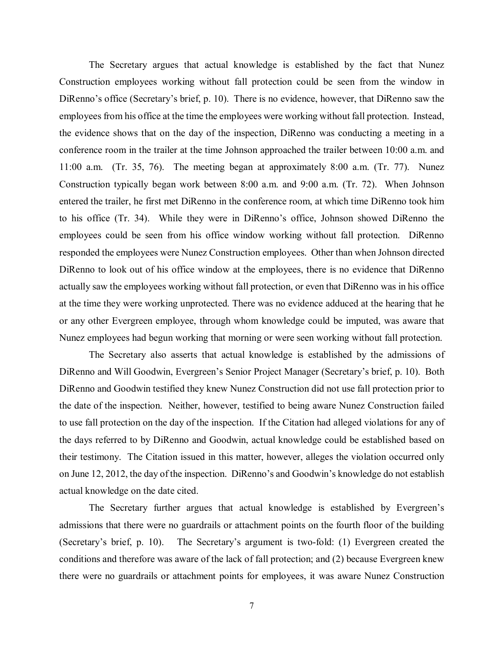The Secretary argues that actual knowledge is established by the fact that Nunez Construction employees working without fall protection could be seen from the window in DiRenno's office (Secretary's brief, p. 10). There is no evidence, however, that DiRenno saw the employees from his office at the time the employees were working without fall protection. Instead, the evidence shows that on the day of the inspection, DiRenno was conducting a meeting in a conference room in the trailer at the time Johnson approached the trailer between 10:00 a.m. and 11:00 a.m. (Tr. 35, 76). The meeting began at approximately 8:00 a.m. (Tr. 77). Nunez Construction typically began work between 8:00 a.m. and 9:00 a.m. (Tr. 72). When Johnson entered the trailer, he first met DiRenno in the conference room, at which time DiRenno took him to his office (Tr. 34). While they were in DiRenno's office, Johnson showed DiRenno the employees could be seen from his office window working without fall protection. DiRenno responded the employees were Nunez Construction employees. Other than when Johnson directed DiRenno to look out of his office window at the employees, there is no evidence that DiRenno actually saw the employees working without fall protection, or even that DiRenno was in his office at the time they were working unprotected. There was no evidence adduced at the hearing that he or any other Evergreen employee, through whom knowledge could be imputed, was aware that Nunez employees had begun working that morning or were seen working without fall protection.

The Secretary also asserts that actual knowledge is established by the admissions of DiRenno and Will Goodwin, Evergreen's Senior Project Manager (Secretary's brief, p. 10). Both DiRenno and Goodwin testified they knew Nunez Construction did not use fall protection prior to the date of the inspection. Neither, however, testified to being aware Nunez Construction failed to use fall protection on the day of the inspection. If the Citation had alleged violations for any of the days referred to by DiRenno and Goodwin, actual knowledge could be established based on their testimony. The Citation issued in this matter, however, alleges the violation occurred only on June 12, 2012, the day of the inspection. DiRenno's and Goodwin's knowledge do not establish actual knowledge on the date cited.

 The Secretary further argues that actual knowledge is established by Evergreen's admissions that there were no guardrails or attachment points on the fourth floor of the building (Secretary's brief, p. 10). The Secretary's argument is two-fold: (1) Evergreen created the conditions and therefore was aware of the lack of fall protection; and (2) because Evergreen knew there were no guardrails or attachment points for employees, it was aware Nunez Construction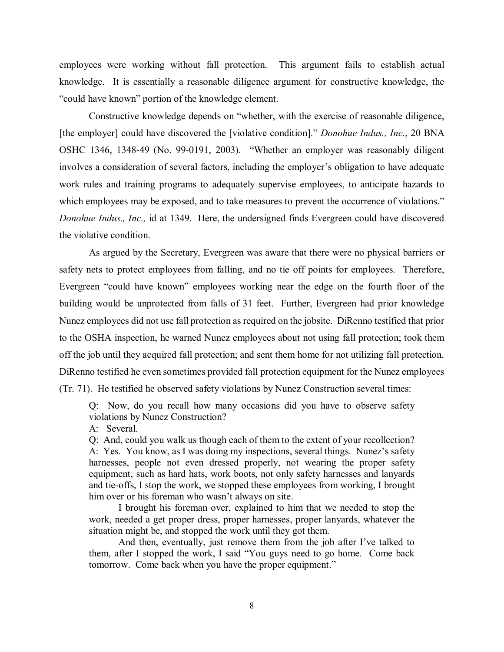employees were working without fall protection. This argument fails to establish actual knowledge. It is essentially a reasonable diligence argument for constructive knowledge, the "could have known" portion of the knowledge element.

 Constructive knowledge depends on "whether, with the exercise of reasonable diligence, [the employer] could have discovered the [violative condition]." *Donohue Indus., Inc.*, 20 BNA OSHC 1346, 1348-49 (No. 99-0191, 2003). "Whether an employer was reasonably diligent involves a consideration of several factors, including the employer's obligation to have adequate work rules and training programs to adequately supervise employees, to anticipate hazards to which employees may be exposed, and to take measures to prevent the occurrence of violations." *Donohue Indus., Inc.,* id at 1349. Here, the undersigned finds Evergreen could have discovered the violative condition.

As argued by the Secretary, Evergreen was aware that there were no physical barriers or safety nets to protect employees from falling, and no tie off points for employees. Therefore, Evergreen "could have known" employees working near the edge on the fourth floor of the building would be unprotected from falls of 31 feet. Further, Evergreen had prior knowledge Nunez employees did not use fall protection as required on the jobsite. DiRenno testified that prior to the OSHA inspection, he warned Nunez employees about not using fall protection; took them off the job until they acquired fall protection; and sent them home for not utilizing fall protection. DiRenno testified he even sometimes provided fall protection equipment for the Nunez employees (Tr. 71). He testified he observed safety violations by Nunez Construction several times:

Q: Now, do you recall how many occasions did you have to observe safety violations by Nunez Construction?

A: Several.

Q: And, could you walk us though each of them to the extent of your recollection? A: Yes. You know, as I was doing my inspections, several things. Nunez's safety harnesses, people not even dressed properly, not wearing the proper safety equipment, such as hard hats, work boots, not only safety harnesses and lanyards and tie-offs, I stop the work, we stopped these employees from working, I brought him over or his foreman who wasn't always on site.

I brought his foreman over, explained to him that we needed to stop the work, needed a get proper dress, proper harnesses, proper lanyards, whatever the situation might be, and stopped the work until they got them.

And then, eventually, just remove them from the job after I've talked to them, after I stopped the work, I said "You guys need to go home. Come back tomorrow. Come back when you have the proper equipment."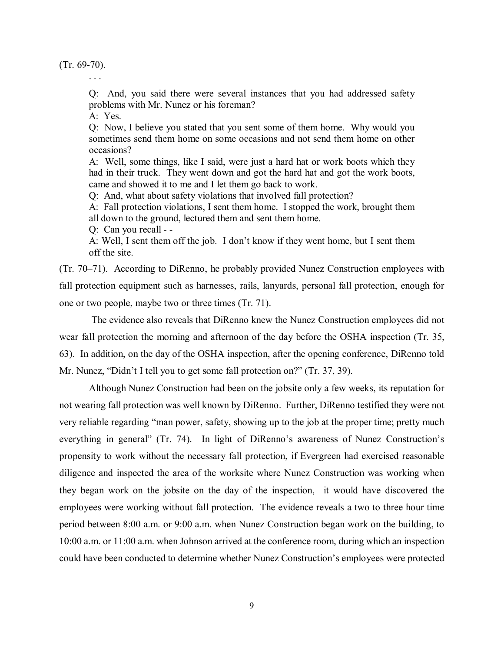(Tr. 69-70).

. . .

Q: And, you said there were several instances that you had addressed safety problems with Mr. Nunez or his foreman?

A: Yes.

Q: Now, I believe you stated that you sent some of them home. Why would you sometimes send them home on some occasions and not send them home on other occasions?

A: Well, some things, like I said, were just a hard hat or work boots which they had in their truck. They went down and got the hard hat and got the work boots, came and showed it to me and I let them go back to work.

Q: And, what about safety violations that involved fall protection?

A: Fall protection violations, I sent them home. I stopped the work, brought them all down to the ground, lectured them and sent them home.

Q: Can you recall - -

A: Well, I sent them off the job. I don't know if they went home, but I sent them off the site.

(Tr. 70–71). According to DiRenno, he probably provided Nunez Construction employees with fall protection equipment such as harnesses, rails, lanyards, personal fall protection, enough for one or two people, maybe two or three times (Tr. 71).

The evidence also reveals that DiRenno knew the Nunez Construction employees did not wear fall protection the morning and afternoon of the day before the OSHA inspection (Tr. 35, 63). In addition, on the day of the OSHA inspection, after the opening conference, DiRenno told Mr. Nunez, "Didn't I tell you to get some fall protection on?" (Tr. 37, 39).

Although Nunez Construction had been on the jobsite only a few weeks, its reputation for not wearing fall protection was well known by DiRenno. Further, DiRenno testified they were not very reliable regarding "man power, safety, showing up to the job at the proper time; pretty much everything in general" (Tr. 74). In light of DiRenno's awareness of Nunez Construction's propensity to work without the necessary fall protection, if Evergreen had exercised reasonable diligence and inspected the area of the worksite where Nunez Construction was working when they began work on the jobsite on the day of the inspection, it would have discovered the employees were working without fall protection. The evidence reveals a two to three hour time period between 8:00 a.m. or 9:00 a.m. when Nunez Construction began work on the building, to 10:00 a.m. or 11:00 a.m. when Johnson arrived at the conference room, during which an inspection could have been conducted to determine whether Nunez Construction's employees were protected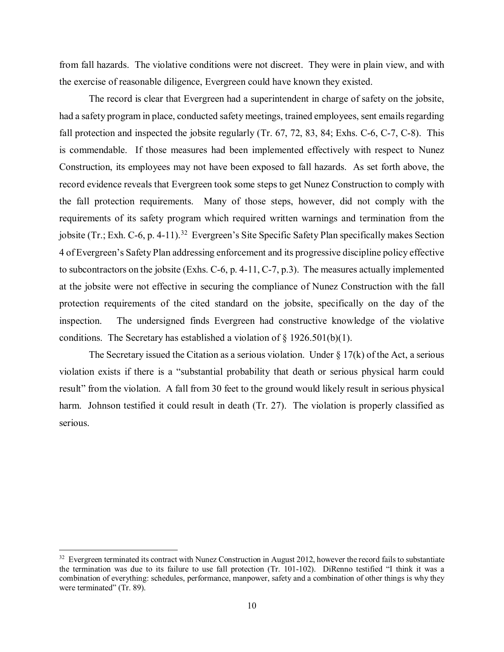from fall hazards. The violative conditions were not discreet. They were in plain view, and with the exercise of reasonable diligence, Evergreen could have known they existed.

The record is clear that Evergreen had a superintendent in charge of safety on the jobsite, had a safety program in place, conducted safety meetings, trained employees, sent emails regarding fall protection and inspected the jobsite regularly (Tr. 67, 72, 83, 84; Exhs. C-6, C-7, C-8). This is commendable. If those measures had been implemented effectively with respect to Nunez Construction, its employees may not have been exposed to fall hazards. As set forth above, the record evidence reveals that Evergreen took some steps to get Nunez Construction to comply with the fall protection requirements. Many of those steps, however, did not comply with the requirements of its safety program which required written warnings and termination from the jobsite (Tr.; Exh. C-6, p. 4-11).<sup>[32](#page-32-0)</sup> Evergreen's Site Specific Safety Plan specifically makes Section 4 of Evergreen's Safety Plan addressing enforcement and its progressive discipline policy effective to subcontractors on the jobsite (Exhs. C-6, p. 4-11, C-7, p.3). The measures actually implemented at the jobsite were not effective in securing the compliance of Nunez Construction with the fall protection requirements of the cited standard on the jobsite, specifically on the day of the inspection. The undersigned finds Evergreen had constructive knowledge of the violative conditions. The Secretary has established a violation of  $\S 1926.501(b)(1)$ .

The Secretary issued the Citation as a serious violation. Under  $\S 17(k)$  of the Act, a serious violation exists if there is a "substantial probability that death or serious physical harm could result" from the violation. A fall from 30 feet to the ground would likely result in serious physical harm. Johnson testified it could result in death (Tr. 27). The violation is properly classified as serious.

<span id="page-32-0"></span> $32$  Evergreen terminated its contract with Nunez Construction in August 2012, however the record fails to substantiate the termination was due to its failure to use fall protection (Tr. 101-102). DiRenno testified "I think it was a combination of everything: schedules, performance, manpower, safety and a combination of other things is why they were terminated" (Tr. 89).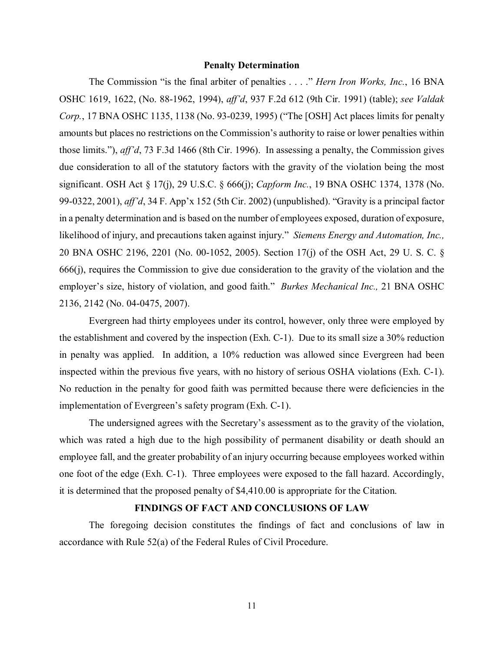## **Penalty Determination**

The Commission "is the final arbiter of penalties . . . ." *Hern Iron Works, Inc.*, 16 BNA OSHC 1619, 1622, (No. 88-1962, 1994), *aff'd*, 937 F.2d 612 (9th Cir. 1991) (table); *see Valdak Corp.*, 17 BNA OSHC 1135, 1138 (No. 93-0239, 1995) ("The [OSH] Act places limits for penalty amounts but places no restrictions on the Commission's authority to raise or lower penalties within those limits."), *aff'd*, 73 F.3d 1466 (8th Cir. 1996). In assessing a penalty, the Commission gives due consideration to all of the statutory factors with the gravity of the violation being the most significant. OSH Act § 17(j), 29 U.S.C. § 666(j); *Capform Inc.*, 19 BNA OSHC 1374, 1378 (No. 99-0322, 2001), *aff'd*, 34 F. App'x 152 (5th Cir. 2002) (unpublished). "Gravity is a principal factor in a penalty determination and is based on the number of employees exposed, duration of exposure, likelihood of injury, and precautions taken against injury." *Siemens Energy and Automation, Inc.,*  20 BNA OSHC 2196, 2201 (No. 00-1052, 2005). Section 17(j) of the OSH Act, 29 U. S. C. § 666(j), requires the Commission to give due consideration to the gravity of the violation and the employer's size, history of violation, and good faith." *Burkes Mechanical Inc.,* 21 BNA OSHC 2136, 2142 (No. 04-0475, 2007).

Evergreen had thirty employees under its control, however, only three were employed by the establishment and covered by the inspection (Exh. C-1). Due to its small size a 30% reduction in penalty was applied. In addition, a 10% reduction was allowed since Evergreen had been inspected within the previous five years, with no history of serious OSHA violations (Exh. C-1). No reduction in the penalty for good faith was permitted because there were deficiencies in the implementation of Evergreen's safety program (Exh. C-1).

The undersigned agrees with the Secretary's assessment as to the gravity of the violation, which was rated a high due to the high possibility of permanent disability or death should an employee fall, and the greater probability of an injury occurring because employees worked within one foot of the edge (Exh. C-1). Three employees were exposed to the fall hazard. Accordingly, it is determined that the proposed penalty of \$4,410.00 is appropriate for the Citation.

## **FINDINGS OF FACT AND CONCLUSIONS OF LAW**

The foregoing decision constitutes the findings of fact and conclusions of law in accordance with Rule 52(a) of the Federal Rules of Civil Procedure.